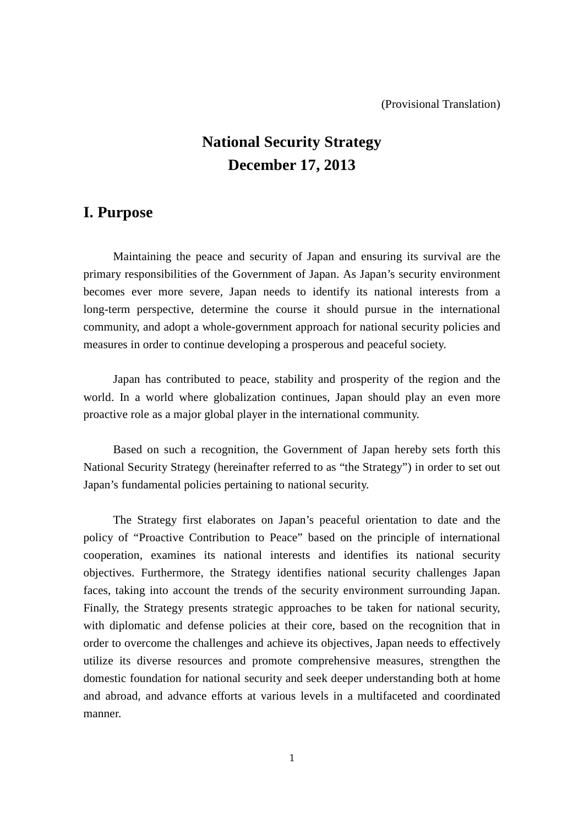# **National Security Strategy December 17, 2013**

# **I. Purpose**

Maintaining the peace and security of Japan and ensuring its survival are the primary responsibilities of the Government of Japan. As Japan's security environment becomes ever more severe, Japan needs to identify its national interests from a long-term perspective, determine the course it should pursue in the international community, and adopt a whole-government approach for national security policies and measures in order to continue developing a prosperous and peaceful society.

Japan has contributed to peace, stability and prosperity of the region and the world. In a world where globalization continues, Japan should play an even more proactive role as a major global player in the international community.

Based on such a recognition, the Government of Japan hereby sets forth this National Security Strategy (hereinafter referred to as "the Strategy") in order to set out Japan's fundamental policies pertaining to national security.

The Strategy first elaborates on Japan's peaceful orientation to date and the policy of "Proactive Contribution to Peace" based on the principle of international cooperation, examines its national interests and identifies its national security objectives. Furthermore, the Strategy identifies national security challenges Japan faces, taking into account the trends of the security environment surrounding Japan. Finally, the Strategy presents strategic approaches to be taken for national security, with diplomatic and defense policies at their core, based on the recognition that in order to overcome the challenges and achieve its objectives, Japan needs to effectively utilize its diverse resources and promote comprehensive measures, strengthen the domestic foundation for national security and seek deeper understanding both at home and abroad, and advance efforts at various levels in a multifaceted and coordinated manner.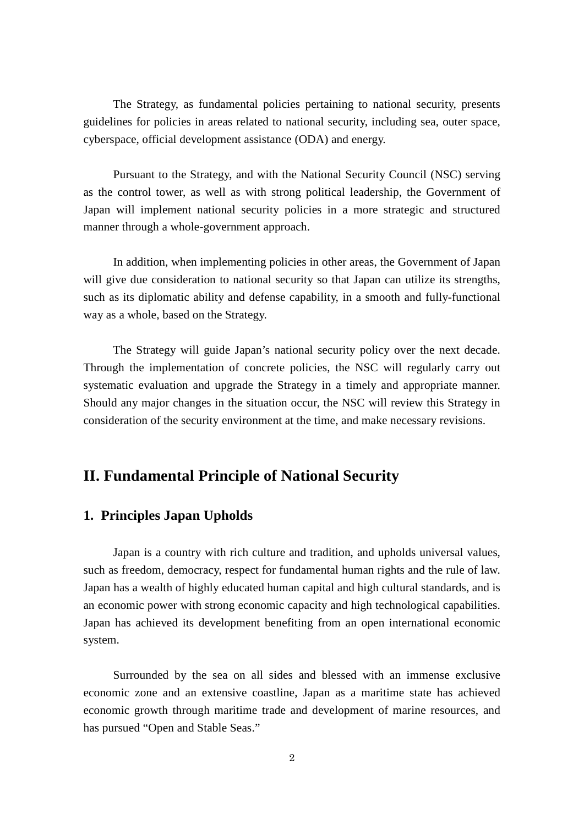The Strategy, as fundamental policies pertaining to national security, presents guidelines for policies in areas related to national security, including sea, outer space, cyberspace, official development assistance (ODA) and energy.

Pursuant to the Strategy, and with the National Security Council (NSC) serving as the control tower, as well as with strong political leadership, the Government of Japan will implement national security policies in a more strategic and structured manner through a whole-government approach.

In addition, when implementing policies in other areas, the Government of Japan will give due consideration to national security so that Japan can utilize its strengths, such as its diplomatic ability and defense capability, in a smooth and fully-functional way as a whole, based on the Strategy.

The Strategy will guide Japan's national security policy over the next decade. Through the implementation of concrete policies, the NSC will regularly carry out systematic evaluation and upgrade the Strategy in a timely and appropriate manner. Should any major changes in the situation occur, the NSC will review this Strategy in consideration of the security environment at the time, and make necessary revisions.

# **II. Fundamental Principle of National Security**

### **1. Principles Japan Upholds**

Japan is a country with rich culture and tradition, and upholds universal values, such as freedom, democracy, respect for fundamental human rights and the rule of law. Japan has a wealth of highly educated human capital and high cultural standards, and is an economic power with strong economic capacity and high technological capabilities. Japan has achieved its development benefiting from an open international economic system.

Surrounded by the sea on all sides and blessed with an immense exclusive economic zone and an extensive coastline, Japan as a maritime state has achieved economic growth through maritime trade and development of marine resources, and has pursued "Open and Stable Seas."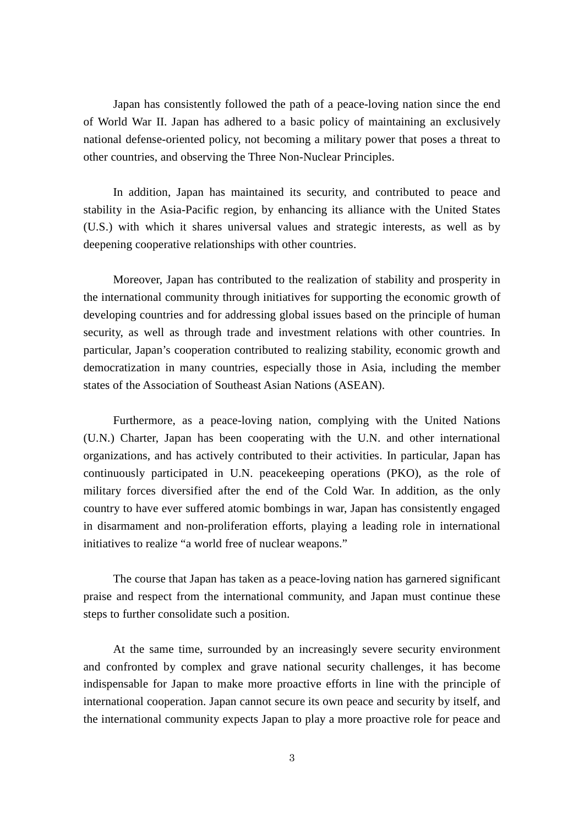Japan has consistently followed the path of a peace-loving nation since the end of World War II. Japan has adhered to a basic policy of maintaining an exclusively national defense-oriented policy, not becoming a military power that poses a threat to other countries, and observing the Three Non-Nuclear Principles.

In addition, Japan has maintained its security, and contributed to peace and stability in the Asia-Pacific region, by enhancing its alliance with the United States (U.S.) with which it shares universal values and strategic interests, as well as by deepening cooperative relationships with other countries.

Moreover, Japan has contributed to the realization of stability and prosperity in the international community through initiatives for supporting the economic growth of developing countries and for addressing global issues based on the principle of human security, as well as through trade and investment relations with other countries. In particular, Japan's cooperation contributed to realizing stability, economic growth and democratization in many countries, especially those in Asia, including the member states of the Association of Southeast Asian Nations (ASEAN).

Furthermore, as a peace-loving nation, complying with the United Nations (U.N.) Charter, Japan has been cooperating with the U.N. and other international organizations, and has actively contributed to their activities. In particular, Japan has continuously participated in U.N. peacekeeping operations (PKO), as the role of military forces diversified after the end of the Cold War. In addition, as the only country to have ever suffered atomic bombings in war, Japan has consistently engaged in disarmament and non-proliferation efforts, playing a leading role in international initiatives to realize "a world free of nuclear weapons."

The course that Japan has taken as a peace-loving nation has garnered significant praise and respect from the international community, and Japan must continue these steps to further consolidate such a position.

At the same time, surrounded by an increasingly severe security environment and confronted by complex and grave national security challenges, it has become indispensable for Japan to make more proactive efforts in line with the principle of international cooperation. Japan cannot secure its own peace and security by itself, and the international community expects Japan to play a more proactive role for peace and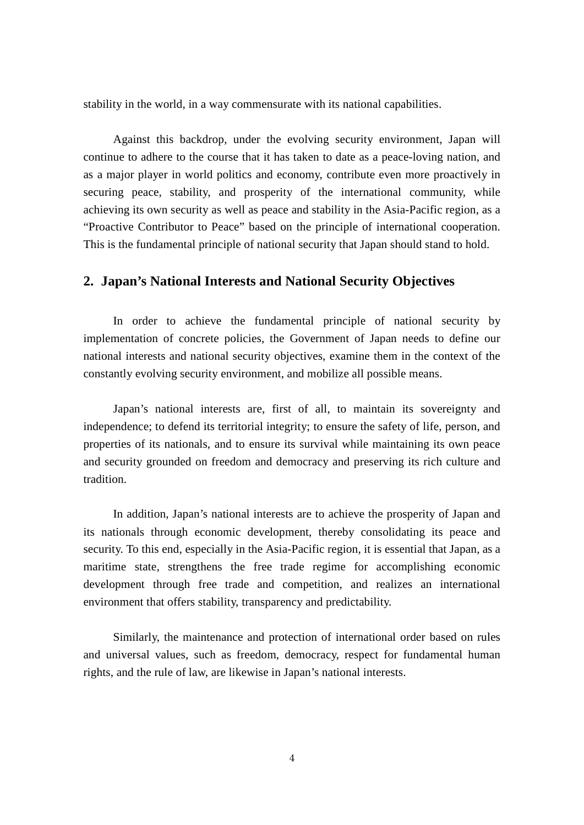stability in the world, in a way commensurate with its national capabilities.

Against this backdrop, under the evolving security environment, Japan will continue to adhere to the course that it has taken to date as a peace-loving nation, and as a major player in world politics and economy, contribute even more proactively in securing peace, stability, and prosperity of the international community, while achieving its own security as well as peace and stability in the Asia-Pacific region, as a "Proactive Contributor to Peace" based on the principle of international cooperation. This is the fundamental principle of national security that Japan should stand to hold.

### **2. Japan's National Interests and National Security Objectives**

In order to achieve the fundamental principle of national security by implementation of concrete policies, the Government of Japan needs to define our national interests and national security objectives, examine them in the context of the constantly evolving security environment, and mobilize all possible means.

Japan's national interests are, first of all, to maintain its sovereignty and independence; to defend its territorial integrity; to ensure the safety of life, person, and properties of its nationals, and to ensure its survival while maintaining its own peace and security grounded on freedom and democracy and preserving its rich culture and tradition.

In addition, Japan's national interests are to achieve the prosperity of Japan and its nationals through economic development, thereby consolidating its peace and security. To this end, especially in the Asia-Pacific region, it is essential that Japan, as a maritime state, strengthens the free trade regime for accomplishing economic development through free trade and competition, and realizes an international environment that offers stability, transparency and predictability.

Similarly, the maintenance and protection of international order based on rules and universal values, such as freedom, democracy, respect for fundamental human rights, and the rule of law, are likewise in Japan's national interests.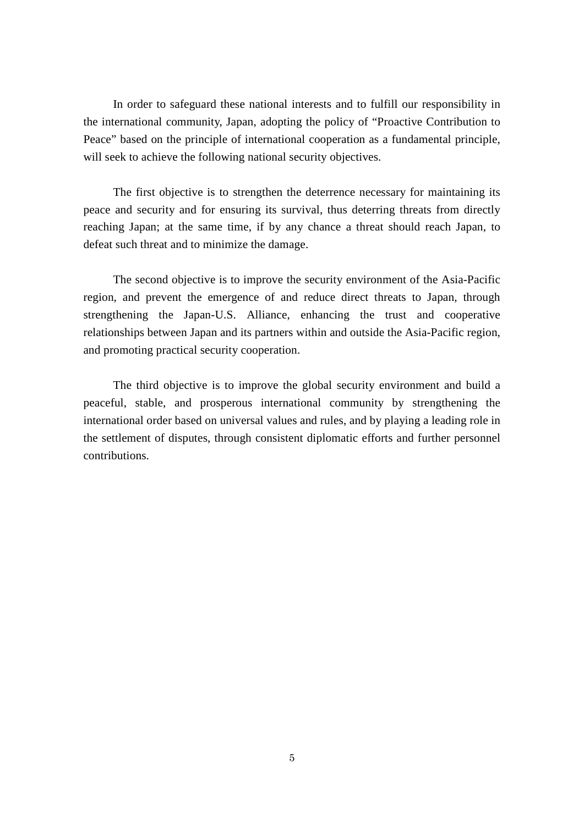In order to safeguard these national interests and to fulfill our responsibility in the international community, Japan, adopting the policy of "Proactive Contribution to Peace" based on the principle of international cooperation as a fundamental principle, will seek to achieve the following national security objectives.

The first objective is to strengthen the deterrence necessary for maintaining its peace and security and for ensuring its survival, thus deterring threats from directly reaching Japan; at the same time, if by any chance a threat should reach Japan, to defeat such threat and to minimize the damage.

The second objective is to improve the security environment of the Asia-Pacific region, and prevent the emergence of and reduce direct threats to Japan, through strengthening the Japan-U.S. Alliance, enhancing the trust and cooperative relationships between Japan and its partners within and outside the Asia-Pacific region, and promoting practical security cooperation.

The third objective is to improve the global security environment and build a peaceful, stable, and prosperous international community by strengthening the international order based on universal values and rules, and by playing a leading role in the settlement of disputes, through consistent diplomatic efforts and further personnel contributions.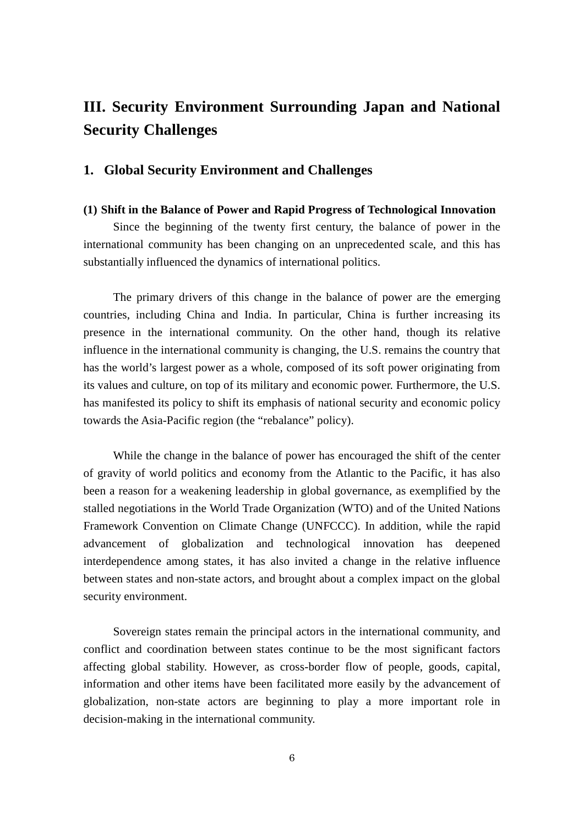# **III. Security Environment Surrounding Japan and National Security Challenges**

### **1. Global Security Environment and Challenges**

### **(1) Shift in the Balance of Power and Rapid Progress of Technological Innovation**

Since the beginning of the twenty first century, the balance of power in the international community has been changing on an unprecedented scale, and this has substantially influenced the dynamics of international politics.

The primary drivers of this change in the balance of power are the emerging countries, including China and India. In particular, China is further increasing its presence in the international community. On the other hand, though its relative influence in the international community is changing, the U.S. remains the country that has the world's largest power as a whole, composed of its soft power originating from its values and culture, on top of its military and economic power. Furthermore, the U.S. has manifested its policy to shift its emphasis of national security and economic policy towards the Asia-Pacific region (the "rebalance" policy).

While the change in the balance of power has encouraged the shift of the center of gravity of world politics and economy from the Atlantic to the Pacific, it has also been a reason for a weakening leadership in global governance, as exemplified by the stalled negotiations in the World Trade Organization (WTO) and of the United Nations Framework Convention on Climate Change (UNFCCC). In addition, while the rapid advancement of globalization and technological innovation has deepened interdependence among states, it has also invited a change in the relative influence between states and non-state actors, and brought about a complex impact on the global security environment.

Sovereign states remain the principal actors in the international community, and conflict and coordination between states continue to be the most significant factors affecting global stability. However, as cross-border flow of people, goods, capital, information and other items have been facilitated more easily by the advancement of globalization, non-state actors are beginning to play a more important role in decision-making in the international community.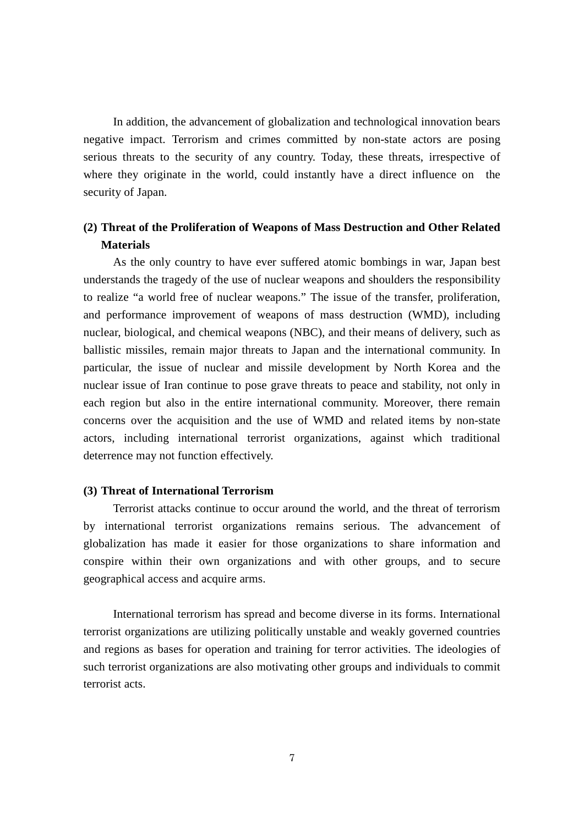In addition, the advancement of globalization and technological innovation bears negative impact. Terrorism and crimes committed by non-state actors are posing serious threats to the security of any country. Today, these threats, irrespective of where they originate in the world, could instantly have a direct influence on the security of Japan.

## **(2) Threat of the Proliferation of Weapons of Mass Destruction and Other Related Materials**

As the only country to have ever suffered atomic bombings in war, Japan best understands the tragedy of the use of nuclear weapons and shoulders the responsibility to realize "a world free of nuclear weapons." The issue of the transfer, proliferation, and performance improvement of weapons of mass destruction (WMD), including nuclear, biological, and chemical weapons (NBC), and their means of delivery, such as ballistic missiles, remain major threats to Japan and the international community. In particular, the issue of nuclear and missile development by North Korea and the nuclear issue of Iran continue to pose grave threats to peace and stability, not only in each region but also in the entire international community. Moreover, there remain concerns over the acquisition and the use of WMD and related items by non-state actors, including international terrorist organizations, against which traditional deterrence may not function effectively.

### **(3) Threat of International Terrorism**

Terrorist attacks continue to occur around the world, and the threat of terrorism by international terrorist organizations remains serious. The advancement of globalization has made it easier for those organizations to share information and conspire within their own organizations and with other groups, and to secure geographical access and acquire arms.

International terrorism has spread and become diverse in its forms. International terrorist organizations are utilizing politically unstable and weakly governed countries and regions as bases for operation and training for terror activities. The ideologies of such terrorist organizations are also motivating other groups and individuals to commit terrorist acts.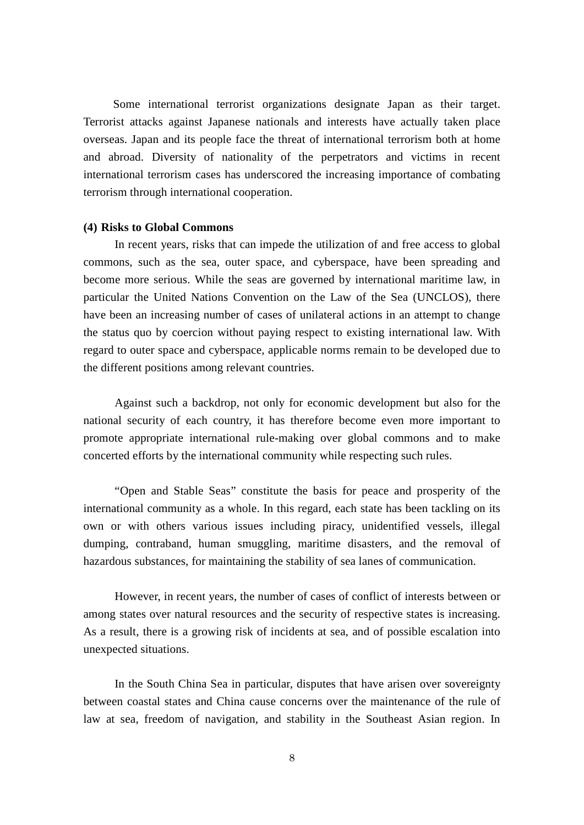Some international terrorist organizations designate Japan as their target. Terrorist attacks against Japanese nationals and interests have actually taken place overseas. Japan and its people face the threat of international terrorism both at home and abroad. Diversity of nationality of the perpetrators and victims in recent international terrorism cases has underscored the increasing importance of combating terrorism through international cooperation.

#### **(4) Risks to Global Commons**

In recent years, risks that can impede the utilization of and free access to global commons, such as the sea, outer space, and cyberspace, have been spreading and become more serious. While the seas are governed by international maritime law, in particular the United Nations Convention on the Law of the Sea (UNCLOS), there have been an increasing number of cases of unilateral actions in an attempt to change the status quo by coercion without paying respect to existing international law. With regard to outer space and cyberspace, applicable norms remain to be developed due to the different positions among relevant countries.

Against such a backdrop, not only for economic development but also for the national security of each country, it has therefore become even more important to promote appropriate international rule-making over global commons and to make concerted efforts by the international community while respecting such rules.

"Open and Stable Seas" constitute the basis for peace and prosperity of the international community as a whole. In this regard, each state has been tackling on its own or with others various issues including piracy, unidentified vessels, illegal dumping, contraband, human smuggling, maritime disasters, and the removal of hazardous substances, for maintaining the stability of sea lanes of communication.

However, in recent years, the number of cases of conflict of interests between or among states over natural resources and the security of respective states is increasing. As a result, there is a growing risk of incidents at sea, and of possible escalation into unexpected situations.

In the South China Sea in particular, disputes that have arisen over sovereignty between coastal states and China cause concerns over the maintenance of the rule of law at sea, freedom of navigation, and stability in the Southeast Asian region. In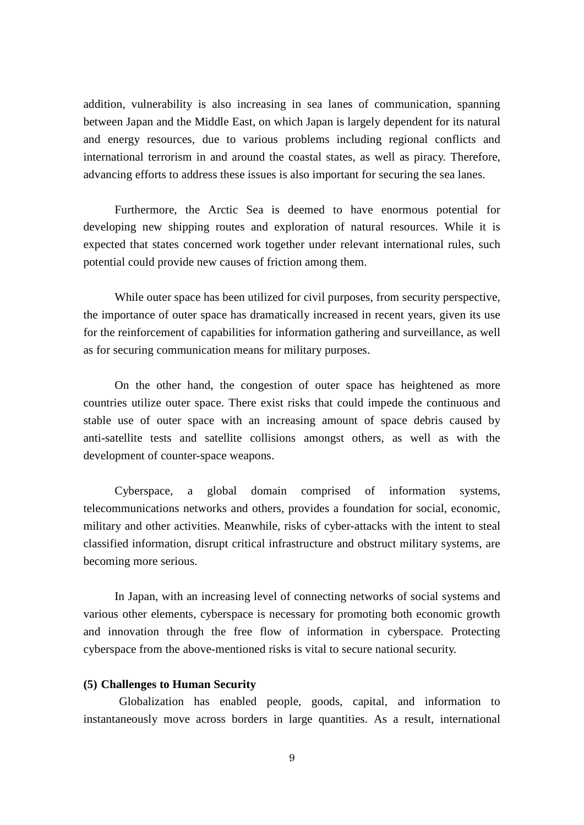addition, vulnerability is also increasing in sea lanes of communication, spanning between Japan and the Middle East, on which Japan is largely dependent for its natural and energy resources, due to various problems including regional conflicts and international terrorism in and around the coastal states, as well as piracy. Therefore, advancing efforts to address these issues is also important for securing the sea lanes.

Furthermore, the Arctic Sea is deemed to have enormous potential for developing new shipping routes and exploration of natural resources. While it is expected that states concerned work together under relevant international rules, such potential could provide new causes of friction among them.

While outer space has been utilized for civil purposes, from security perspective, the importance of outer space has dramatically increased in recent years, given its use for the reinforcement of capabilities for information gathering and surveillance, as well as for securing communication means for military purposes.

On the other hand, the congestion of outer space has heightened as more countries utilize outer space. There exist risks that could impede the continuous and stable use of outer space with an increasing amount of space debris caused by anti-satellite tests and satellite collisions amongst others, as well as with the development of counter-space weapons.

Cyberspace, a global domain comprised of information systems, telecommunications networks and others, provides a foundation for social, economic, military and other activities. Meanwhile, risks of cyber-attacks with the intent to steal classified information, disrupt critical infrastructure and obstruct military systems, are becoming more serious.

In Japan, with an increasing level of connecting networks of social systems and various other elements, cyberspace is necessary for promoting both economic growth and innovation through the free flow of information in cyberspace. Protecting cyberspace from the above-mentioned risks is vital to secure national security.

### **(5) Challenges to Human Security**

Globalization has enabled people, goods, capital, and information to instantaneously move across borders in large quantities. As a result, international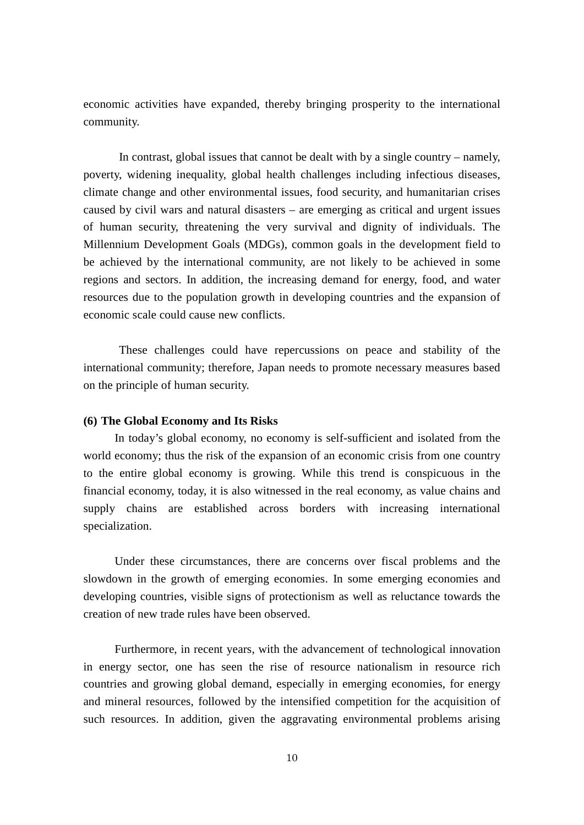economic activities have expanded, thereby bringing prosperity to the international community.

In contrast, global issues that cannot be dealt with by a single country – namely, poverty, widening inequality, global health challenges including infectious diseases, climate change and other environmental issues, food security, and humanitarian crises caused by civil wars and natural disasters – are emerging as critical and urgent issues of human security, threatening the very survival and dignity of individuals. The Millennium Development Goals (MDGs), common goals in the development field to be achieved by the international community, are not likely to be achieved in some regions and sectors. In addition, the increasing demand for energy, food, and water resources due to the population growth in developing countries and the expansion of economic scale could cause new conflicts.

These challenges could have repercussions on peace and stability of the international community; therefore, Japan needs to promote necessary measures based on the principle of human security.

#### **(6) The Global Economy and Its Risks**

In today's global economy, no economy is self-sufficient and isolated from the world economy; thus the risk of the expansion of an economic crisis from one country to the entire global economy is growing. While this trend is conspicuous in the financial economy, today, it is also witnessed in the real economy, as value chains and supply chains are established across borders with increasing international specialization.

Under these circumstances, there are concerns over fiscal problems and the slowdown in the growth of emerging economies. In some emerging economies and developing countries, visible signs of protectionism as well as reluctance towards the creation of new trade rules have been observed.

Furthermore, in recent years, with the advancement of technological innovation in energy sector, one has seen the rise of resource nationalism in resource rich countries and growing global demand, especially in emerging economies, for energy and mineral resources, followed by the intensified competition for the acquisition of such resources. In addition, given the aggravating environmental problems arising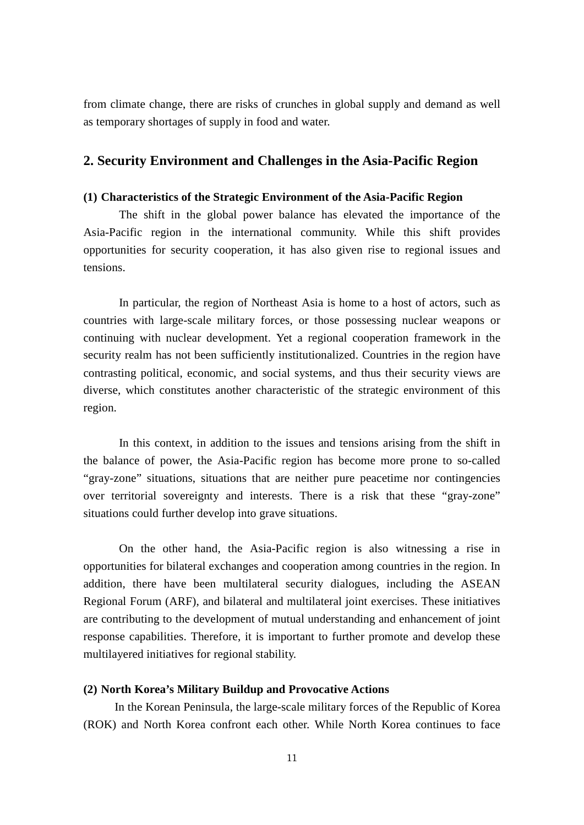from climate change, there are risks of crunches in global supply and demand as well as temporary shortages of supply in food and water.

### **2. Security Environment and Challenges in the Asia-Pacific Region**

### **(1) Characteristics of the Strategic Environment of the Asia-Pacific Region**

The shift in the global power balance has elevated the importance of the Asia-Pacific region in the international community. While this shift provides opportunities for security cooperation, it has also given rise to regional issues and tensions.

In particular, the region of Northeast Asia is home to a host of actors, such as countries with large-scale military forces, or those possessing nuclear weapons or continuing with nuclear development. Yet a regional cooperation framework in the security realm has not been sufficiently institutionalized. Countries in the region have contrasting political, economic, and social systems, and thus their security views are diverse, which constitutes another characteristic of the strategic environment of this region.

In this context, in addition to the issues and tensions arising from the shift in the balance of power, the Asia-Pacific region has become more prone to so-called "gray-zone" situations, situations that are neither pure peacetime nor contingencies over territorial sovereignty and interests. There is a risk that these "gray-zone" situations could further develop into grave situations.

On the other hand, the Asia-Pacific region is also witnessing a rise in opportunities for bilateral exchanges and cooperation among countries in the region. In addition, there have been multilateral security dialogues, including the ASEAN Regional Forum (ARF), and bilateral and multilateral joint exercises. These initiatives are contributing to the development of mutual understanding and enhancement of joint response capabilities. Therefore, it is important to further promote and develop these multilayered initiatives for regional stability.

### **(2) North Korea's Military Buildup and Provocative Actions**

In the Korean Peninsula, the large-scale military forces of the Republic of Korea (ROK) and North Korea confront each other. While North Korea continues to face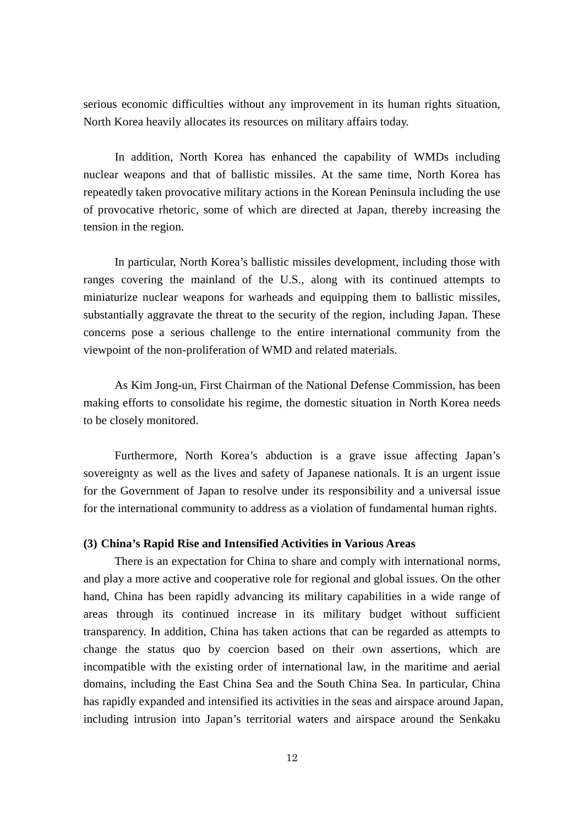serious economic difficulties without any improvement in its human rights situation, North Korea heavily allocates its resources on military affairs today.

In addition, North Korea has enhanced the capability of WMDs including nuclear weapons and that of ballistic missiles. At the same time, North Korea has repeatedly taken provocative military actions in the Korean Peninsula including the use of provocative rhetoric, some of which are directed at Japan, thereby increasing the tension in the region.

In particular, North Korea's ballistic missiles development, including those with ranges covering the mainland of the U.S., along with its continued attempts to miniaturize nuclear weapons for warheads and equipping them to ballistic missiles, substantially aggravate the threat to the security of the region, including Japan. These concerns pose a serious challenge to the entire international community from the viewpoint of the non-proliferation of WMD and related materials.

As Kim Jong-un, First Chairman of the National Defense Commission, has been making efforts to consolidate his regime, the domestic situation in North Korea needs to be closely monitored.

Furthermore, North Korea's abduction is a grave issue affecting Japan's sovereignty as well as the lives and safety of Japanese nationals. It is an urgent issue for the Government of Japan to resolve under its responsibility and a universal issue for the international community to address as a violation of fundamental human rights.

### **(3) China's Rapid Rise and Intensified Activities in Various Areas**

There is an expectation for China to share and comply with international norms, and play a more active and cooperative role for regional and global issues. On the other hand, China has been rapidly advancing its military capabilities in a wide range of areas through its continued increase in its military budget without sufficient transparency. In addition, China has taken actions that can be regarded as attempts to change the status quo by coercion based on their own assertions, which are incompatible with the existing order of international law, in the maritime and aerial domains, including the East China Sea and the South China Sea. In particular, China has rapidly expanded and intensified its activities in the seas and airspace around Japan, including intrusion into Japan's territorial waters and airspace around the Senkaku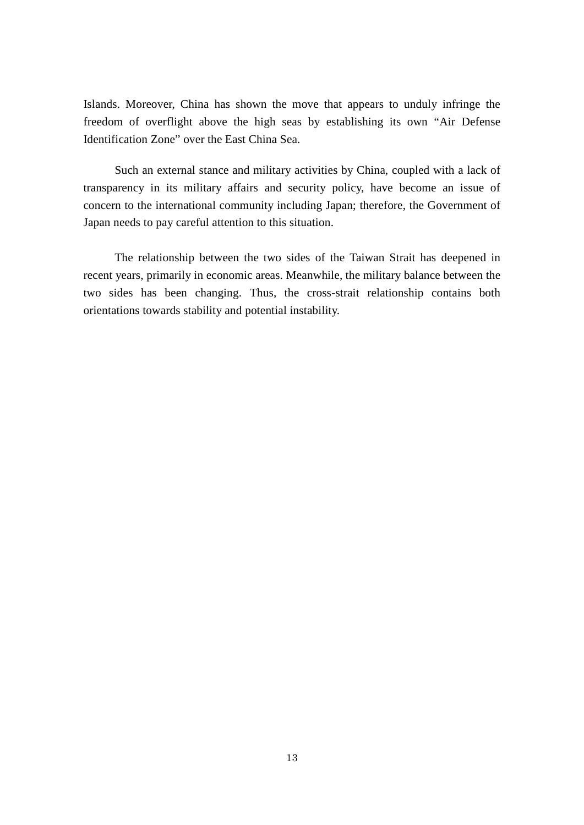Islands. Moreover, China has shown the move that appears to unduly infringe the freedom of overflight above the high seas by establishing its own "Air Defense Identification Zone" over the East China Sea.

Such an external stance and military activities by China, coupled with a lack of transparency in its military affairs and security policy, have become an issue of concern to the international community including Japan; therefore, the Government of Japan needs to pay careful attention to this situation.

The relationship between the two sides of the Taiwan Strait has deepened in recent years, primarily in economic areas. Meanwhile, the military balance between the two sides has been changing. Thus, the cross-strait relationship contains both orientations towards stability and potential instability.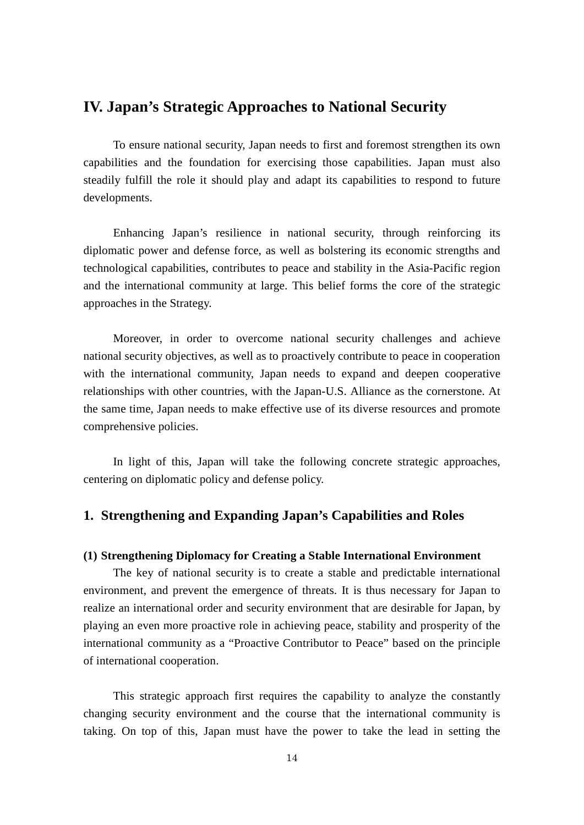# **IV. Japan's Strategic Approaches to National Security**

To ensure national security, Japan needs to first and foremost strengthen its own capabilities and the foundation for exercising those capabilities. Japan must also steadily fulfill the role it should play and adapt its capabilities to respond to future developments.

Enhancing Japan's resilience in national security, through reinforcing its diplomatic power and defense force, as well as bolstering its economic strengths and technological capabilities, contributes to peace and stability in the Asia-Pacific region and the international community at large. This belief forms the core of the strategic approaches in the Strategy.

Moreover, in order to overcome national security challenges and achieve national security objectives, as well as to proactively contribute to peace in cooperation with the international community, Japan needs to expand and deepen cooperative relationships with other countries, with the Japan-U.S. Alliance as the cornerstone. At the same time, Japan needs to make effective use of its diverse resources and promote comprehensive policies.

In light of this, Japan will take the following concrete strategic approaches, centering on diplomatic policy and defense policy.

### **1. Strengthening and Expanding Japan's Capabilities and Roles**

### **(1) Strengthening Diplomacy for Creating a Stable International Environment**

The key of national security is to create a stable and predictable international environment, and prevent the emergence of threats. It is thus necessary for Japan to realize an international order and security environment that are desirable for Japan, by playing an even more proactive role in achieving peace, stability and prosperity of the international community as a "Proactive Contributor to Peace" based on the principle of international cooperation.

This strategic approach first requires the capability to analyze the constantly changing security environment and the course that the international community is taking. On top of this, Japan must have the power to take the lead in setting the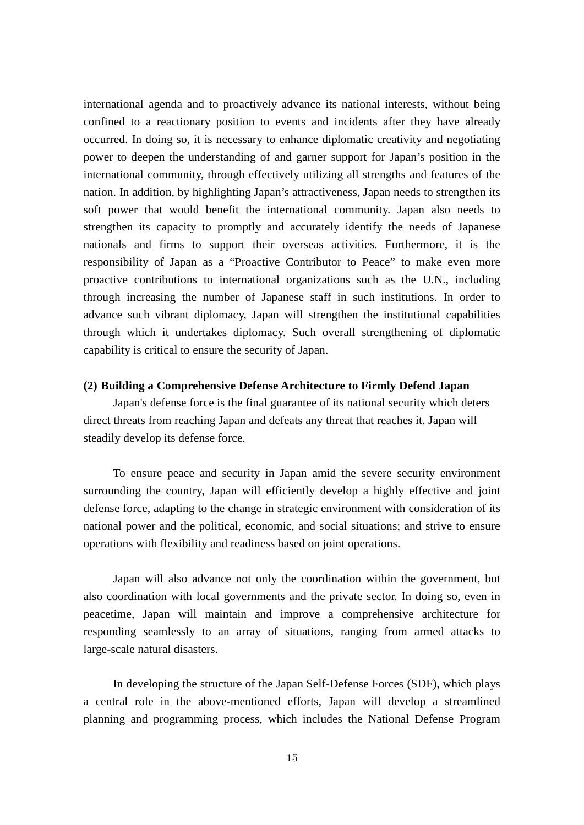international agenda and to proactively advance its national interests, without being confined to a reactionary position to events and incidents after they have already occurred. In doing so, it is necessary to enhance diplomatic creativity and negotiating power to deepen the understanding of and garner support for Japan's position in the international community, through effectively utilizing all strengths and features of the nation. In addition, by highlighting Japan's attractiveness, Japan needs to strengthen its soft power that would benefit the international community. Japan also needs to strengthen its capacity to promptly and accurately identify the needs of Japanese nationals and firms to support their overseas activities. Furthermore, it is the responsibility of Japan as a "Proactive Contributor to Peace" to make even more proactive contributions to international organizations such as the U.N., including through increasing the number of Japanese staff in such institutions. In order to advance such vibrant diplomacy, Japan will strengthen the institutional capabilities through which it undertakes diplomacy. Such overall strengthening of diplomatic capability is critical to ensure the security of Japan.

### **(2) Building a Comprehensive Defense Architecture to Firmly Defend Japan**

Japan's defense force is the final guarantee of its national security which deters direct threats from reaching Japan and defeats any threat that reaches it. Japan will steadily develop its defense force.

To ensure peace and security in Japan amid the severe security environment surrounding the country, Japan will efficiently develop a highly effective and joint defense force, adapting to the change in strategic environment with consideration of its national power and the political, economic, and social situations; and strive to ensure operations with flexibility and readiness based on joint operations.

Japan will also advance not only the coordination within the government, but also coordination with local governments and the private sector. In doing so, even in peacetime, Japan will maintain and improve a comprehensive architecture for responding seamlessly to an array of situations, ranging from armed attacks to large-scale natural disasters.

In developing the structure of the Japan Self-Defense Forces (SDF), which plays a central role in the above-mentioned efforts, Japan will develop a streamlined planning and programming process, which includes the National Defense Program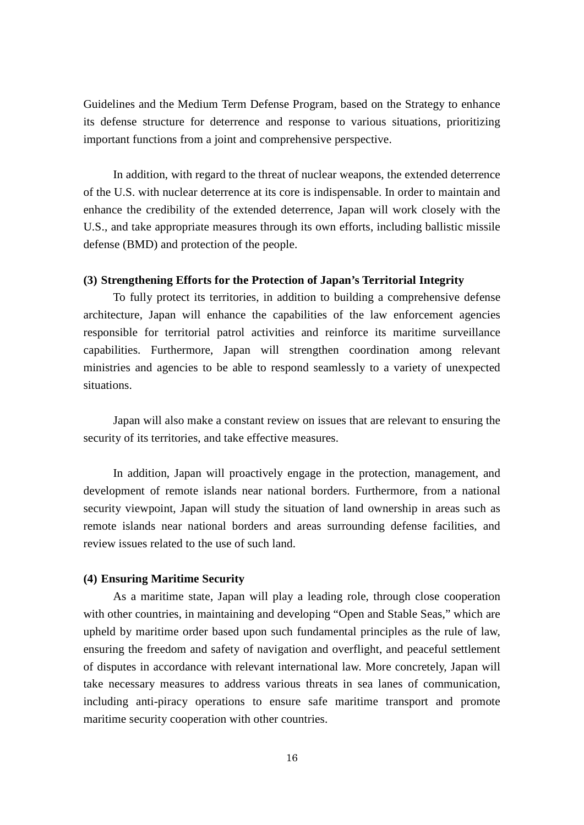Guidelines and the Medium Term Defense Program, based on the Strategy to enhance its defense structure for deterrence and response to various situations, prioritizing important functions from a joint and comprehensive perspective.

In addition, with regard to the threat of nuclear weapons, the extended deterrence of the U.S. with nuclear deterrence at its core is indispensable. In order to maintain and enhance the credibility of the extended deterrence, Japan will work closely with the U.S., and take appropriate measures through its own efforts, including ballistic missile defense (BMD) and protection of the people.

### **(3) Strengthening Efforts for the Protection of Japan's Territorial Integrity**

To fully protect its territories, in addition to building a comprehensive defense architecture, Japan will enhance the capabilities of the law enforcement agencies responsible for territorial patrol activities and reinforce its maritime surveillance capabilities. Furthermore, Japan will strengthen coordination among relevant ministries and agencies to be able to respond seamlessly to a variety of unexpected situations.

Japan will also make a constant review on issues that are relevant to ensuring the security of its territories, and take effective measures.

In addition, Japan will proactively engage in the protection, management, and development of remote islands near national borders. Furthermore, from a national security viewpoint, Japan will study the situation of land ownership in areas such as remote islands near national borders and areas surrounding defense facilities, and review issues related to the use of such land.

### **(4) Ensuring Maritime Security**

As a maritime state, Japan will play a leading role, through close cooperation with other countries, in maintaining and developing "Open and Stable Seas," which are upheld by maritime order based upon such fundamental principles as the rule of law, ensuring the freedom and safety of navigation and overflight, and peaceful settlement of disputes in accordance with relevant international law. More concretely, Japan will take necessary measures to address various threats in sea lanes of communication, including anti-piracy operations to ensure safe maritime transport and promote maritime security cooperation with other countries.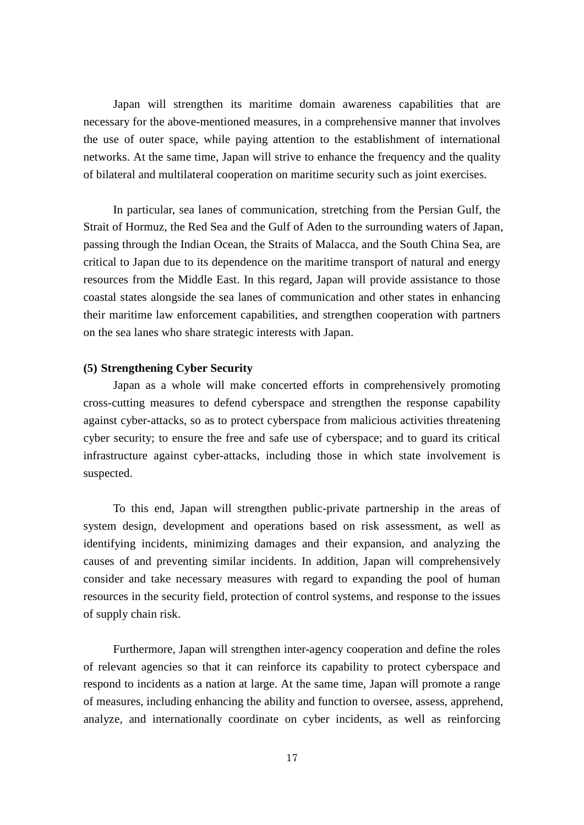Japan will strengthen its maritime domain awareness capabilities that are necessary for the above-mentioned measures, in a comprehensive manner that involves the use of outer space, while paying attention to the establishment of international networks. At the same time, Japan will strive to enhance the frequency and the quality of bilateral and multilateral cooperation on maritime security such as joint exercises.

In particular, sea lanes of communication, stretching from the Persian Gulf, the Strait of Hormuz, the Red Sea and the Gulf of Aden to the surrounding waters of Japan, passing through the Indian Ocean, the Straits of Malacca, and the South China Sea, are critical to Japan due to its dependence on the maritime transport of natural and energy resources from the Middle East. In this regard, Japan will provide assistance to those coastal states alongside the sea lanes of communication and other states in enhancing their maritime law enforcement capabilities, and strengthen cooperation with partners on the sea lanes who share strategic interests with Japan.

#### **(5) Strengthening Cyber Security**

Japan as a whole will make concerted efforts in comprehensively promoting cross-cutting measures to defend cyberspace and strengthen the response capability against cyber-attacks, so as to protect cyberspace from malicious activities threatening cyber security; to ensure the free and safe use of cyberspace; and to guard its critical infrastructure against cyber-attacks, including those in which state involvement is suspected.

To this end, Japan will strengthen public-private partnership in the areas of system design, development and operations based on risk assessment, as well as identifying incidents, minimizing damages and their expansion, and analyzing the causes of and preventing similar incidents. In addition, Japan will comprehensively consider and take necessary measures with regard to expanding the pool of human resources in the security field, protection of control systems, and response to the issues of supply chain risk.

Furthermore, Japan will strengthen inter-agency cooperation and define the roles of relevant agencies so that it can reinforce its capability to protect cyberspace and respond to incidents as a nation at large. At the same time, Japan will promote a range of measures, including enhancing the ability and function to oversee, assess, apprehend, analyze, and internationally coordinate on cyber incidents, as well as reinforcing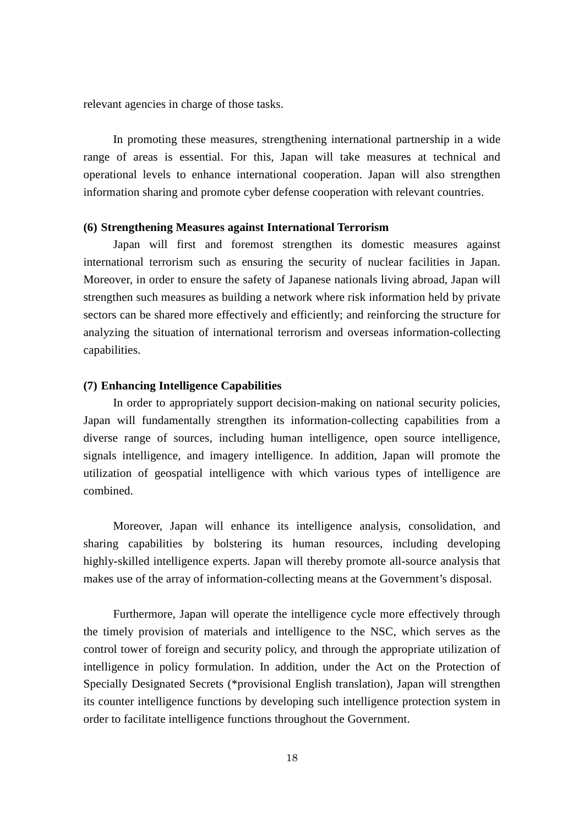relevant agencies in charge of those tasks.

In promoting these measures, strengthening international partnership in a wide range of areas is essential. For this, Japan will take measures at technical and operational levels to enhance international cooperation. Japan will also strengthen information sharing and promote cyber defense cooperation with relevant countries.

### **(6) Strengthening Measures against International Terrorism**

Japan will first and foremost strengthen its domestic measures against international terrorism such as ensuring the security of nuclear facilities in Japan. Moreover, in order to ensure the safety of Japanese nationals living abroad, Japan will strengthen such measures as building a network where risk information held by private sectors can be shared more effectively and efficiently; and reinforcing the structure for analyzing the situation of international terrorism and overseas information-collecting capabilities.

### **(7) Enhancing Intelligence Capabilities**

In order to appropriately support decision-making on national security policies, Japan will fundamentally strengthen its information-collecting capabilities from a diverse range of sources, including human intelligence, open source intelligence, signals intelligence, and imagery intelligence. In addition, Japan will promote the utilization of geospatial intelligence with which various types of intelligence are combined.

Moreover, Japan will enhance its intelligence analysis, consolidation, and sharing capabilities by bolstering its human resources, including developing highly-skilled intelligence experts. Japan will thereby promote all-source analysis that makes use of the array of information-collecting means at the Government's disposal.

Furthermore, Japan will operate the intelligence cycle more effectively through the timely provision of materials and intelligence to the NSC, which serves as the control tower of foreign and security policy, and through the appropriate utilization of intelligence in policy formulation. In addition, under the Act on the Protection of Specially Designated Secrets (\*provisional English translation), Japan will strengthen its counter intelligence functions by developing such intelligence protection system in order to facilitate intelligence functions throughout the Government.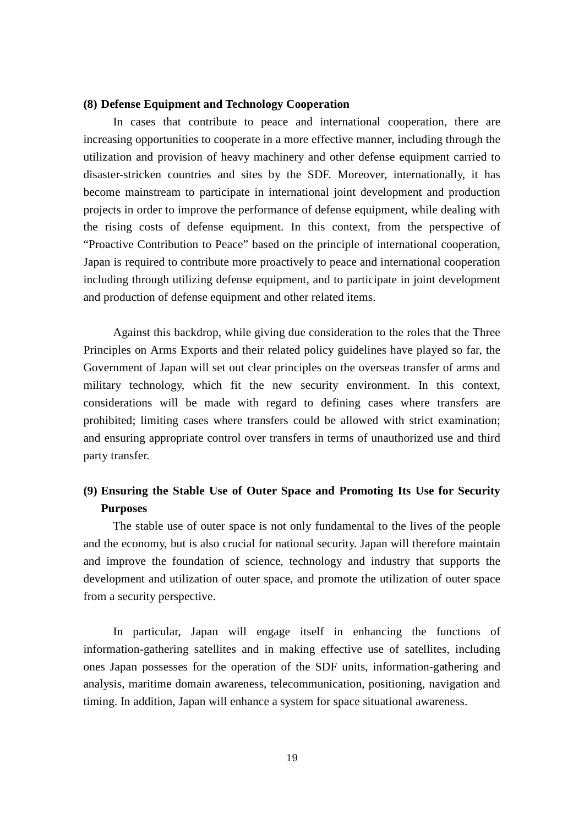### **(8) Defense Equipment and Technology Cooperation**

In cases that contribute to peace and international cooperation, there are increasing opportunities to cooperate in a more effective manner, including through the utilization and provision of heavy machinery and other defense equipment carried to disaster-stricken countries and sites by the SDF. Moreover, internationally, it has become mainstream to participate in international joint development and production projects in order to improve the performance of defense equipment, while dealing with the rising costs of defense equipment. In this context, from the perspective of "Proactive Contribution to Peace" based on the principle of international cooperation, Japan is required to contribute more proactively to peace and international cooperation including through utilizing defense equipment, and to participate in joint development and production of defense equipment and other related items.

Against this backdrop, while giving due consideration to the roles that the Three Principles on Arms Exports and their related policy guidelines have played so far, the Government of Japan will set out clear principles on the overseas transfer of arms and military technology, which fit the new security environment. In this context, considerations will be made with regard to defining cases where transfers are prohibited; limiting cases where transfers could be allowed with strict examination; and ensuring appropriate control over transfers in terms of unauthorized use and third party transfer.

# **(9) Ensuring the Stable Use of Outer Space and Promoting Its Use for Security Purposes**

The stable use of outer space is not only fundamental to the lives of the people and the economy, but is also crucial for national security. Japan will therefore maintain and improve the foundation of science, technology and industry that supports the development and utilization of outer space, and promote the utilization of outer space from a security perspective.

In particular, Japan will engage itself in enhancing the functions of information-gathering satellites and in making effective use of satellites, including ones Japan possesses for the operation of the SDF units, information-gathering and analysis, maritime domain awareness, telecommunication, positioning, navigation and timing. In addition, Japan will enhance a system for space situational awareness.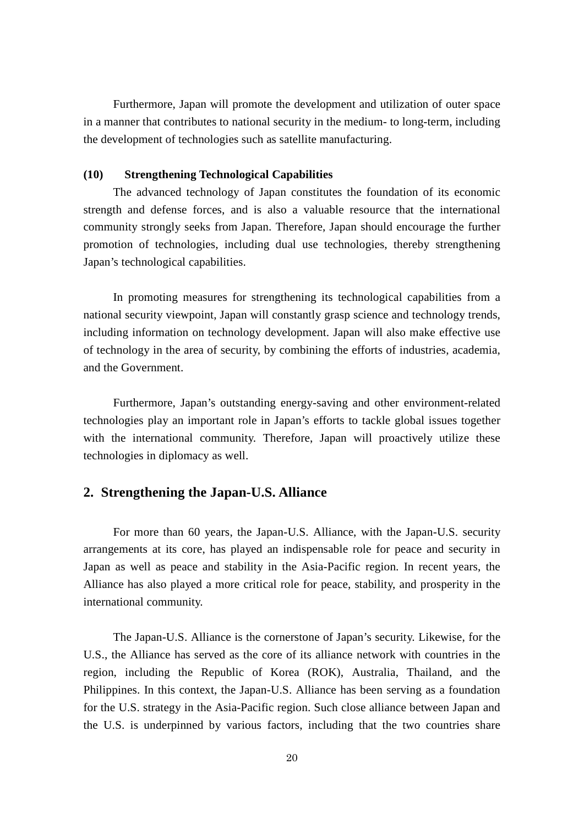Furthermore, Japan will promote the development and utilization of outer space in a manner that contributes to national security in the medium- to long-term, including the development of technologies such as satellite manufacturing.

### **(10) Strengthening Technological Capabilities**

The advanced technology of Japan constitutes the foundation of its economic strength and defense forces, and is also a valuable resource that the international community strongly seeks from Japan. Therefore, Japan should encourage the further promotion of technologies, including dual use technologies, thereby strengthening Japan's technological capabilities.

In promoting measures for strengthening its technological capabilities from a national security viewpoint, Japan will constantly grasp science and technology trends, including information on technology development. Japan will also make effective use of technology in the area of security, by combining the efforts of industries, academia, and the Government.

Furthermore, Japan's outstanding energy-saving and other environment-related technologies play an important role in Japan's efforts to tackle global issues together with the international community. Therefore, Japan will proactively utilize these technologies in diplomacy as well.

### **2. Strengthening the Japan-U.S. Alliance**

For more than 60 years, the Japan-U.S. Alliance, with the Japan-U.S. security arrangements at its core, has played an indispensable role for peace and security in Japan as well as peace and stability in the Asia-Pacific region. In recent years, the Alliance has also played a more critical role for peace, stability, and prosperity in the international community.

The Japan-U.S. Alliance is the cornerstone of Japan's security. Likewise, for the U.S., the Alliance has served as the core of its alliance network with countries in the region, including the Republic of Korea (ROK), Australia, Thailand, and the Philippines. In this context, the Japan-U.S. Alliance has been serving as a foundation for the U.S. strategy in the Asia-Pacific region. Such close alliance between Japan and the U.S. is underpinned by various factors, including that the two countries share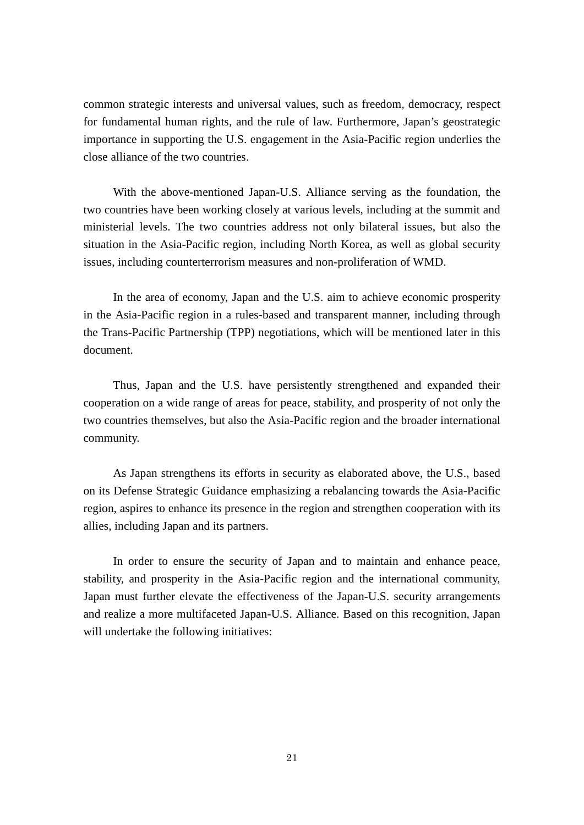common strategic interests and universal values, such as freedom, democracy, respect for fundamental human rights, and the rule of law. Furthermore, Japan's geostrategic importance in supporting the U.S. engagement in the Asia-Pacific region underlies the close alliance of the two countries.

With the above-mentioned Japan-U.S. Alliance serving as the foundation, the two countries have been working closely at various levels, including at the summit and ministerial levels. The two countries address not only bilateral issues, but also the situation in the Asia-Pacific region, including North Korea, as well as global security issues, including counterterrorism measures and non-proliferation of WMD.

In the area of economy, Japan and the U.S. aim to achieve economic prosperity in the Asia-Pacific region in a rules-based and transparent manner, including through the Trans-Pacific Partnership (TPP) negotiations, which will be mentioned later in this document.

Thus, Japan and the U.S. have persistently strengthened and expanded their cooperation on a wide range of areas for peace, stability, and prosperity of not only the two countries themselves, but also the Asia-Pacific region and the broader international community.

As Japan strengthens its efforts in security as elaborated above, the U.S., based on its Defense Strategic Guidance emphasizing a rebalancing towards the Asia-Pacific region, aspires to enhance its presence in the region and strengthen cooperation with its allies, including Japan and its partners.

In order to ensure the security of Japan and to maintain and enhance peace, stability, and prosperity in the Asia-Pacific region and the international community, Japan must further elevate the effectiveness of the Japan-U.S. security arrangements and realize a more multifaceted Japan-U.S. Alliance. Based on this recognition, Japan will undertake the following initiatives: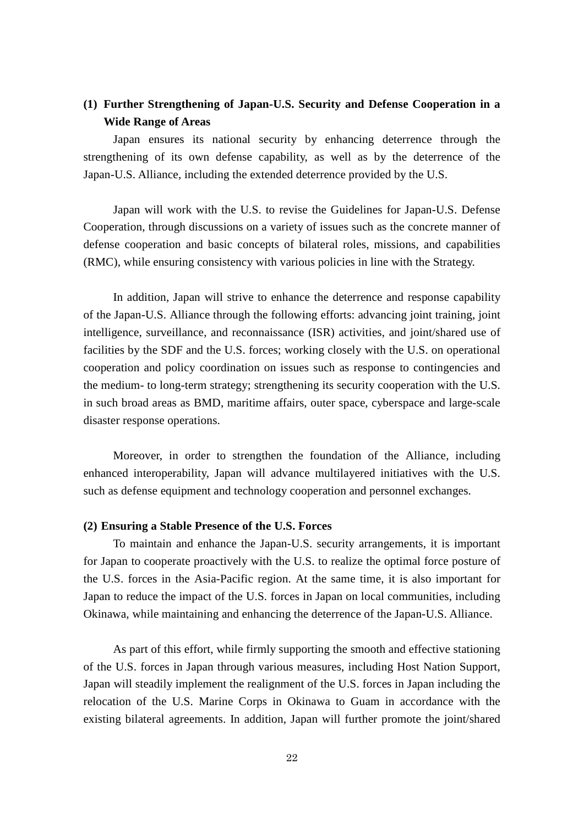## **(1) Further Strengthening of Japan-U.S. Security and Defense Cooperation in a Wide Range of Areas**

Japan ensures its national security by enhancing deterrence through the strengthening of its own defense capability, as well as by the deterrence of the Japan-U.S. Alliance, including the extended deterrence provided by the U.S.

Japan will work with the U.S. to revise the Guidelines for Japan-U.S. Defense Cooperation, through discussions on a variety of issues such as the concrete manner of defense cooperation and basic concepts of bilateral roles, missions, and capabilities (RMC), while ensuring consistency with various policies in line with the Strategy.

In addition, Japan will strive to enhance the deterrence and response capability of the Japan-U.S. Alliance through the following efforts: advancing joint training, joint intelligence, surveillance, and reconnaissance (ISR) activities, and joint/shared use of facilities by the SDF and the U.S. forces; working closely with the U.S. on operational cooperation and policy coordination on issues such as response to contingencies and the medium- to long-term strategy; strengthening its security cooperation with the U.S. in such broad areas as BMD, maritime affairs, outer space, cyberspace and large-scale disaster response operations.

Moreover, in order to strengthen the foundation of the Alliance, including enhanced interoperability, Japan will advance multilayered initiatives with the U.S. such as defense equipment and technology cooperation and personnel exchanges.

### **(2) Ensuring a Stable Presence of the U.S. Forces**

To maintain and enhance the Japan-U.S. security arrangements, it is important for Japan to cooperate proactively with the U.S. to realize the optimal force posture of the U.S. forces in the Asia-Pacific region. At the same time, it is also important for Japan to reduce the impact of the U.S. forces in Japan on local communities, including Okinawa, while maintaining and enhancing the deterrence of the Japan-U.S. Alliance.

As part of this effort, while firmly supporting the smooth and effective stationing of the U.S. forces in Japan through various measures, including Host Nation Support, Japan will steadily implement the realignment of the U.S. forces in Japan including the relocation of the U.S. Marine Corps in Okinawa to Guam in accordance with the existing bilateral agreements. In addition, Japan will further promote the joint/shared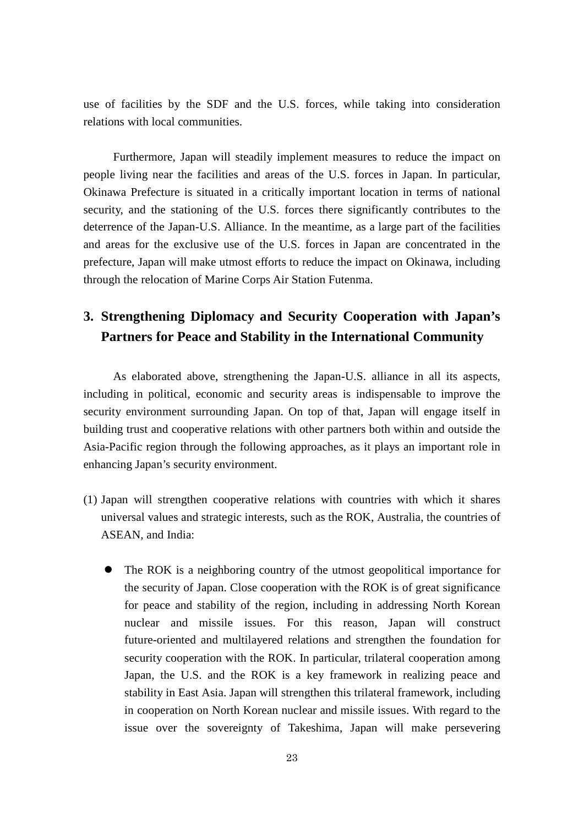use of facilities by the SDF and the U.S. forces, while taking into consideration relations with local communities.

Furthermore, Japan will steadily implement measures to reduce the impact on people living near the facilities and areas of the U.S. forces in Japan. In particular, Okinawa Prefecture is situated in a critically important location in terms of national security, and the stationing of the U.S. forces there significantly contributes to the deterrence of the Japan-U.S. Alliance. In the meantime, as a large part of the facilities and areas for the exclusive use of the U.S. forces in Japan are concentrated in the prefecture, Japan will make utmost efforts to reduce the impact on Okinawa, including through the relocation of Marine Corps Air Station Futenma.

# **3. Strengthening Diplomacy and Security Cooperation with Japan's Partners for Peace and Stability in the International Community**

As elaborated above, strengthening the Japan-U.S. alliance in all its aspects, including in political, economic and security areas is indispensable to improve the security environment surrounding Japan. On top of that, Japan will engage itself in building trust and cooperative relations with other partners both within and outside the Asia-Pacific region through the following approaches, as it plays an important role in enhancing Japan's security environment.

- (1) Japan will strengthen cooperative relations with countries with which it shares universal values and strategic interests, such as the ROK, Australia, the countries of ASEAN, and India:
	- The ROK is a neighboring country of the utmost geopolitical importance for the security of Japan. Close cooperation with the ROK is of great significance for peace and stability of the region, including in addressing North Korean nuclear and missile issues. For this reason, Japan will construct future-oriented and multilayered relations and strengthen the foundation for security cooperation with the ROK. In particular, trilateral cooperation among Japan, the U.S. and the ROK is a key framework in realizing peace and stability in East Asia. Japan will strengthen this trilateral framework, including in cooperation on North Korean nuclear and missile issues. With regard to the issue over the sovereignty of Takeshima, Japan will make persevering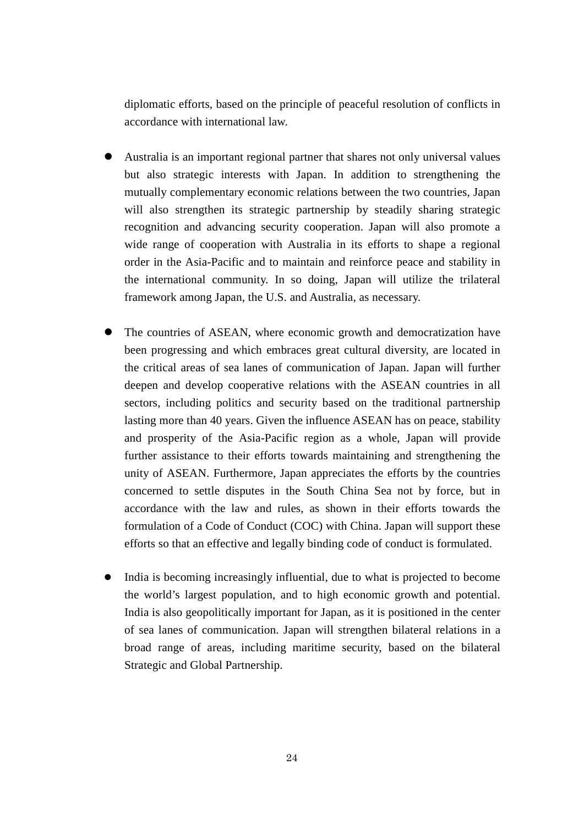diplomatic efforts, based on the principle of peaceful resolution of conflicts in accordance with international law.

- Australia is an important regional partner that shares not only universal values but also strategic interests with Japan. In addition to strengthening the mutually complementary economic relations between the two countries, Japan will also strengthen its strategic partnership by steadily sharing strategic recognition and advancing security cooperation. Japan will also promote a wide range of cooperation with Australia in its efforts to shape a regional order in the Asia-Pacific and to maintain and reinforce peace and stability in the international community. In so doing, Japan will utilize the trilateral framework among Japan, the U.S. and Australia, as necessary.
- The countries of ASEAN, where economic growth and democratization have been progressing and which embraces great cultural diversity, are located in the critical areas of sea lanes of communication of Japan. Japan will further deepen and develop cooperative relations with the ASEAN countries in all sectors, including politics and security based on the traditional partnership lasting more than 40 years. Given the influence ASEAN has on peace, stability and prosperity of the Asia-Pacific region as a whole, Japan will provide further assistance to their efforts towards maintaining and strengthening the unity of ASEAN. Furthermore, Japan appreciates the efforts by the countries concerned to settle disputes in the South China Sea not by force, but in accordance with the law and rules, as shown in their efforts towards the formulation of a Code of Conduct (COC) with China. Japan will support these efforts so that an effective and legally binding code of conduct is formulated.
- India is becoming increasingly influential, due to what is projected to become the world's largest population, and to high economic growth and potential. India is also geopolitically important for Japan, as it is positioned in the center of sea lanes of communication. Japan will strengthen bilateral relations in a broad range of areas, including maritime security, based on the bilateral Strategic and Global Partnership.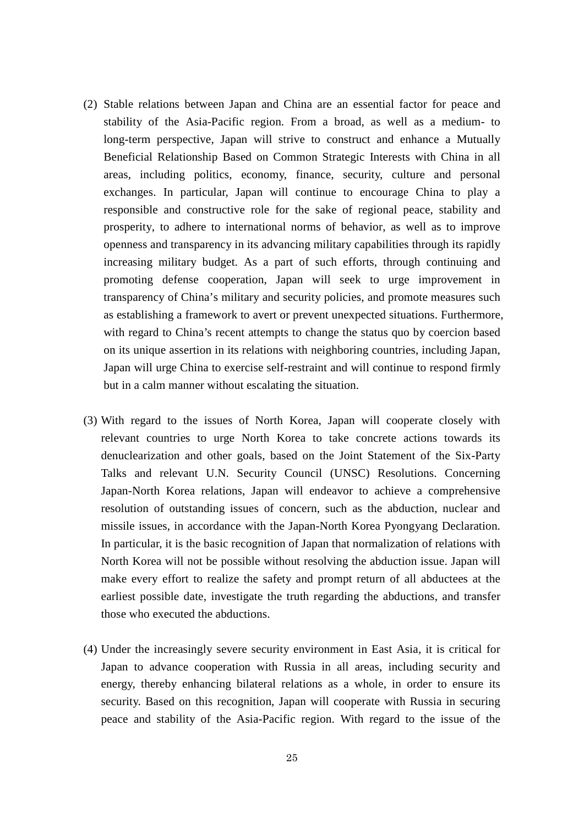- (2) Stable relations between Japan and China are an essential factor for peace and stability of the Asia-Pacific region. From a broad, as well as a medium- to long-term perspective, Japan will strive to construct and enhance a Mutually Beneficial Relationship Based on Common Strategic Interests with China in all areas, including politics, economy, finance, security, culture and personal exchanges. In particular, Japan will continue to encourage China to play a responsible and constructive role for the sake of regional peace, stability and prosperity, to adhere to international norms of behavior, as well as to improve openness and transparency in its advancing military capabilities through its rapidly increasing military budget. As a part of such efforts, through continuing and promoting defense cooperation, Japan will seek to urge improvement in transparency of China's military and security policies, and promote measures such as establishing a framework to avert or prevent unexpected situations. Furthermore, with regard to China's recent attempts to change the status quo by coercion based on its unique assertion in its relations with neighboring countries, including Japan, Japan will urge China to exercise self-restraint and will continue to respond firmly but in a calm manner without escalating the situation.
- (3) With regard to the issues of North Korea, Japan will cooperate closely with relevant countries to urge North Korea to take concrete actions towards its denuclearization and other goals, based on the Joint Statement of the Six-Party Talks and relevant U.N. Security Council (UNSC) Resolutions. Concerning Japan-North Korea relations, Japan will endeavor to achieve a comprehensive resolution of outstanding issues of concern, such as the abduction, nuclear and missile issues, in accordance with the Japan-North Korea Pyongyang Declaration. In particular, it is the basic recognition of Japan that normalization of relations with North Korea will not be possible without resolving the abduction issue. Japan will make every effort to realize the safety and prompt return of all abductees at the earliest possible date, investigate the truth regarding the abductions, and transfer those who executed the abductions.
- (4) Under the increasingly severe security environment in East Asia, it is critical for Japan to advance cooperation with Russia in all areas, including security and energy, thereby enhancing bilateral relations as a whole, in order to ensure its security. Based on this recognition, Japan will cooperate with Russia in securing peace and stability of the Asia-Pacific region. With regard to the issue of the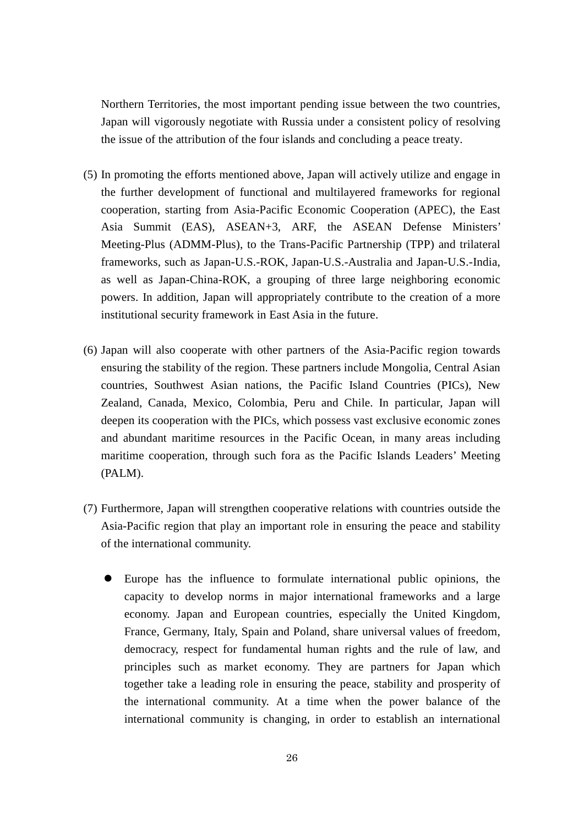Northern Territories, the most important pending issue between the two countries, Japan will vigorously negotiate with Russia under a consistent policy of resolving the issue of the attribution of the four islands and concluding a peace treaty.

- (5) In promoting the efforts mentioned above, Japan will actively utilize and engage in the further development of functional and multilayered frameworks for regional cooperation, starting from Asia-Pacific Economic Cooperation (APEC), the East Asia Summit (EAS), ASEAN+3, ARF, the ASEAN Defense Ministers' Meeting-Plus (ADMM-Plus), to the Trans-Pacific Partnership (TPP) and trilateral frameworks, such as Japan-U.S.-ROK, Japan-U.S.-Australia and Japan-U.S.-India, as well as Japan-China-ROK, a grouping of three large neighboring economic powers. In addition, Japan will appropriately contribute to the creation of a more institutional security framework in East Asia in the future.
- (6) Japan will also cooperate with other partners of the Asia-Pacific region towards ensuring the stability of the region. These partners include Mongolia, Central Asian countries, Southwest Asian nations, the Pacific Island Countries (PICs), New Zealand, Canada, Mexico, Colombia, Peru and Chile. In particular, Japan will deepen its cooperation with the PICs, which possess vast exclusive economic zones and abundant maritime resources in the Pacific Ocean, in many areas including maritime cooperation, through such fora as the Pacific Islands Leaders' Meeting (PALM).
- (7) Furthermore, Japan will strengthen cooperative relations with countries outside the Asia-Pacific region that play an important role in ensuring the peace and stability of the international community.
	- Europe has the influence to formulate international public opinions, the capacity to develop norms in major international frameworks and a large economy. Japan and European countries, especially the United Kingdom, France, Germany, Italy, Spain and Poland, share universal values of freedom, democracy, respect for fundamental human rights and the rule of law, and principles such as market economy. They are partners for Japan which together take a leading role in ensuring the peace, stability and prosperity of the international community. At a time when the power balance of the international community is changing, in order to establish an international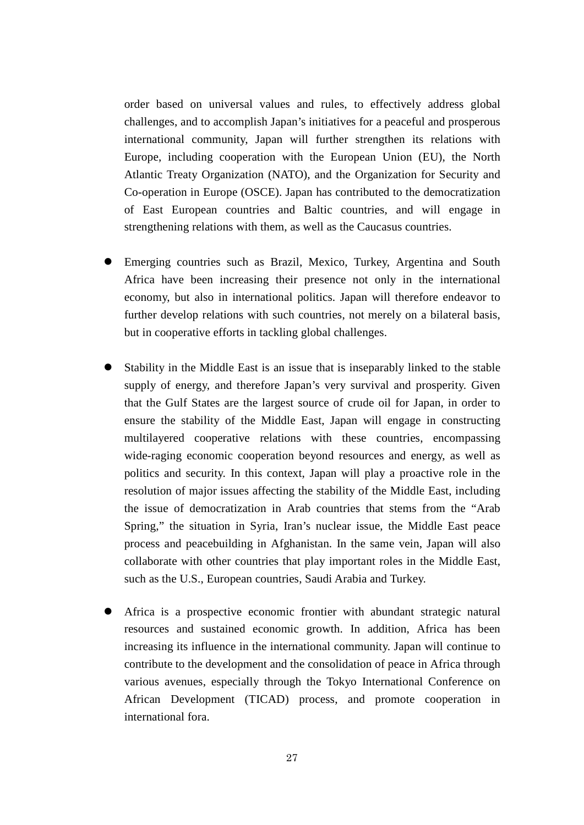order based on universal values and rules, to effectively address global challenges, and to accomplish Japan's initiatives for a peaceful and prosperous international community, Japan will further strengthen its relations with Europe, including cooperation with the European Union (EU), the North Atlantic Treaty Organization (NATO), and the Organization for Security and Co-operation in Europe (OSCE). Japan has contributed to the democratization of East European countries and Baltic countries, and will engage in strengthening relations with them, as well as the Caucasus countries.

- Emerging countries such as Brazil, Mexico, Turkey, Argentina and South Africa have been increasing their presence not only in the international economy, but also in international politics. Japan will therefore endeavor to further develop relations with such countries, not merely on a bilateral basis, but in cooperative efforts in tackling global challenges.
- Stability in the Middle East is an issue that is inseparably linked to the stable supply of energy, and therefore Japan's very survival and prosperity. Given that the Gulf States are the largest source of crude oil for Japan, in order to ensure the stability of the Middle East, Japan will engage in constructing multilayered cooperative relations with these countries, encompassing wide-raging economic cooperation beyond resources and energy, as well as politics and security. In this context, Japan will play a proactive role in the resolution of major issues affecting the stability of the Middle East, including the issue of democratization in Arab countries that stems from the "Arab Spring," the situation in Syria, Iran's nuclear issue, the Middle East peace process and peacebuilding in Afghanistan. In the same vein, Japan will also collaborate with other countries that play important roles in the Middle East, such as the U.S., European countries, Saudi Arabia and Turkey.
- Africa is a prospective economic frontier with abundant strategic natural resources and sustained economic growth. In addition, Africa has been increasing its influence in the international community. Japan will continue to contribute to the development and the consolidation of peace in Africa through various avenues, especially through the Tokyo International Conference on African Development (TICAD) process, and promote cooperation in international fora.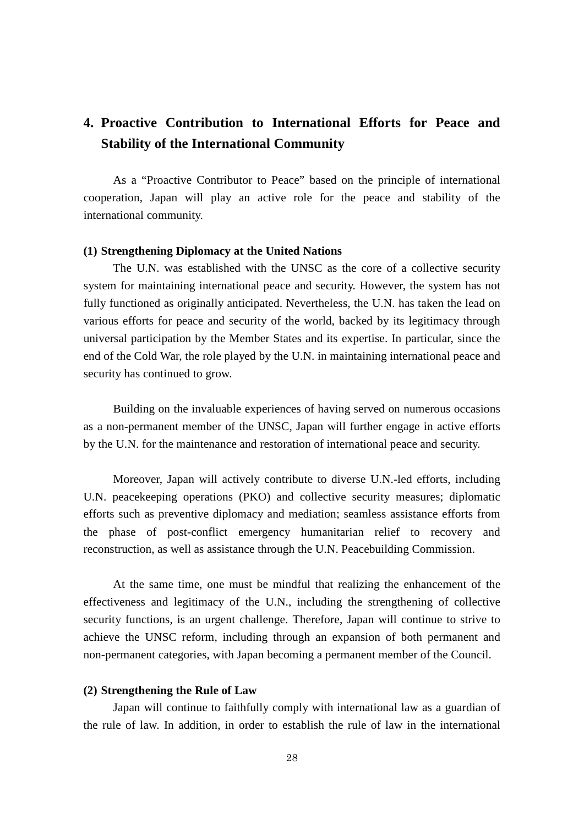# **4. Proactive Contribution to International Efforts for Peace and Stability of the International Community**

As a "Proactive Contributor to Peace" based on the principle of international cooperation, Japan will play an active role for the peace and stability of the international community.

### **(1) Strengthening Diplomacy at the United Nations**

The U.N. was established with the UNSC as the core of a collective security system for maintaining international peace and security. However, the system has not fully functioned as originally anticipated. Nevertheless, the U.N. has taken the lead on various efforts for peace and security of the world, backed by its legitimacy through universal participation by the Member States and its expertise. In particular, since the end of the Cold War, the role played by the U.N. in maintaining international peace and security has continued to grow.

Building on the invaluable experiences of having served on numerous occasions as a non-permanent member of the UNSC, Japan will further engage in active efforts by the U.N. for the maintenance and restoration of international peace and security.

Moreover, Japan will actively contribute to diverse U.N.-led efforts, including U.N. peacekeeping operations (PKO) and collective security measures; diplomatic efforts such as preventive diplomacy and mediation; seamless assistance efforts from the phase of post-conflict emergency humanitarian relief to recovery and reconstruction, as well as assistance through the U.N. Peacebuilding Commission.

At the same time, one must be mindful that realizing the enhancement of the effectiveness and legitimacy of the U.N., including the strengthening of collective security functions, is an urgent challenge. Therefore, Japan will continue to strive to achieve the UNSC reform, including through an expansion of both permanent and non-permanent categories, with Japan becoming a permanent member of the Council.

#### **(2) Strengthening the Rule of Law**

Japan will continue to faithfully comply with international law as a guardian of the rule of law. In addition, in order to establish the rule of law in the international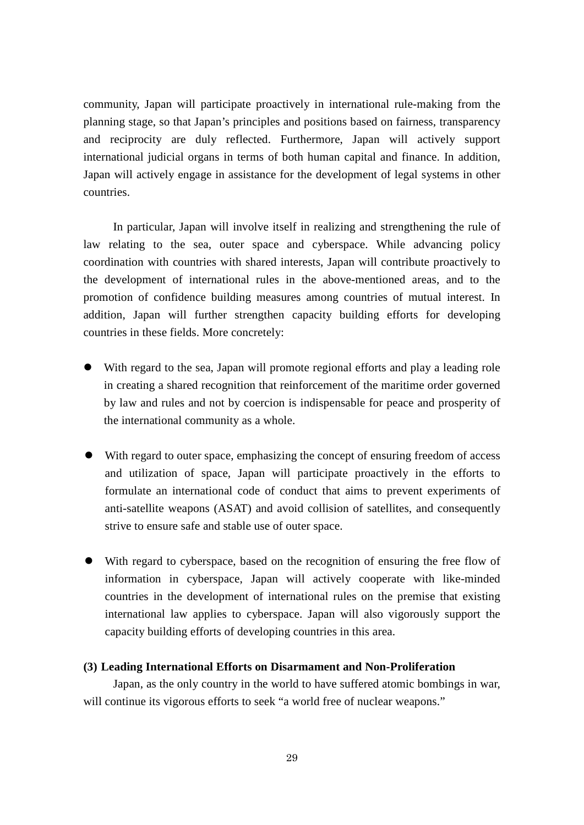community, Japan will participate proactively in international rule-making from the planning stage, so that Japan's principles and positions based on fairness, transparency and reciprocity are duly reflected. Furthermore, Japan will actively support international judicial organs in terms of both human capital and finance. In addition, Japan will actively engage in assistance for the development of legal systems in other countries.

In particular, Japan will involve itself in realizing and strengthening the rule of law relating to the sea, outer space and cyberspace. While advancing policy coordination with countries with shared interests, Japan will contribute proactively to the development of international rules in the above-mentioned areas, and to the promotion of confidence building measures among countries of mutual interest. In addition, Japan will further strengthen capacity building efforts for developing countries in these fields. More concretely:

- With regard to the sea, Japan will promote regional efforts and play a leading role in creating a shared recognition that reinforcement of the maritime order governed by law and rules and not by coercion is indispensable for peace and prosperity of the international community as a whole.
- With regard to outer space, emphasizing the concept of ensuring freedom of access and utilization of space, Japan will participate proactively in the efforts to formulate an international code of conduct that aims to prevent experiments of anti-satellite weapons (ASAT) and avoid collision of satellites, and consequently strive to ensure safe and stable use of outer space.
- With regard to cyberspace, based on the recognition of ensuring the free flow of information in cyberspace, Japan will actively cooperate with like-minded countries in the development of international rules on the premise that existing international law applies to cyberspace. Japan will also vigorously support the capacity building efforts of developing countries in this area.

### **(3) Leading International Efforts on Disarmament and Non-Proliferation**

Japan, as the only country in the world to have suffered atomic bombings in war, will continue its vigorous efforts to seek "a world free of nuclear weapons."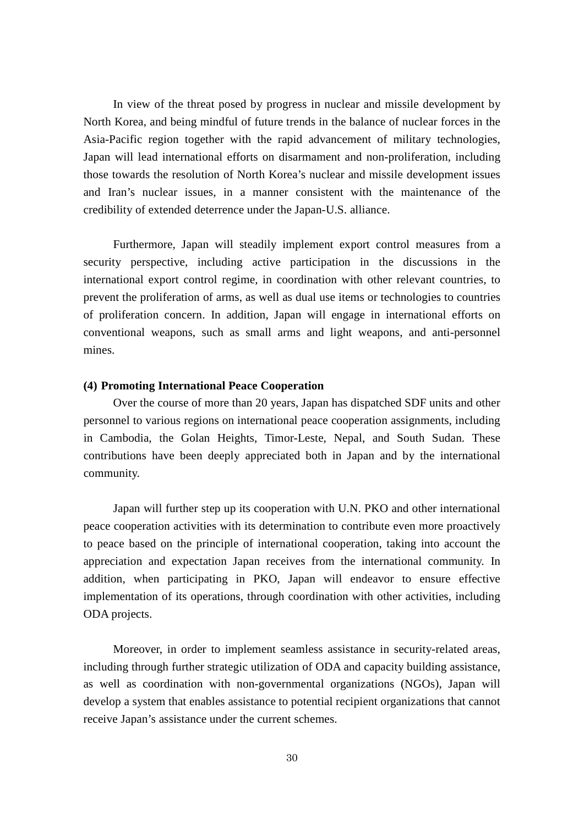In view of the threat posed by progress in nuclear and missile development by North Korea, and being mindful of future trends in the balance of nuclear forces in the Asia-Pacific region together with the rapid advancement of military technologies, Japan will lead international efforts on disarmament and non-proliferation, including those towards the resolution of North Korea's nuclear and missile development issues and Iran's nuclear issues, in a manner consistent with the maintenance of the credibility of extended deterrence under the Japan-U.S. alliance.

Furthermore, Japan will steadily implement export control measures from a security perspective, including active participation in the discussions in the international export control regime, in coordination with other relevant countries, to prevent the proliferation of arms, as well as dual use items or technologies to countries of proliferation concern. In addition, Japan will engage in international efforts on conventional weapons, such as small arms and light weapons, and anti-personnel mines.

### **(4) Promoting International Peace Cooperation**

Over the course of more than 20 years, Japan has dispatched SDF units and other personnel to various regions on international peace cooperation assignments, including in Cambodia, the Golan Heights, Timor-Leste, Nepal, and South Sudan. These contributions have been deeply appreciated both in Japan and by the international community.

Japan will further step up its cooperation with U.N. PKO and other international peace cooperation activities with its determination to contribute even more proactively to peace based on the principle of international cooperation, taking into account the appreciation and expectation Japan receives from the international community. In addition, when participating in PKO, Japan will endeavor to ensure effective implementation of its operations, through coordination with other activities, including ODA projects.

Moreover, in order to implement seamless assistance in security-related areas, including through further strategic utilization of ODA and capacity building assistance, as well as coordination with non-governmental organizations (NGOs), Japan will develop a system that enables assistance to potential recipient organizations that cannot receive Japan's assistance under the current schemes.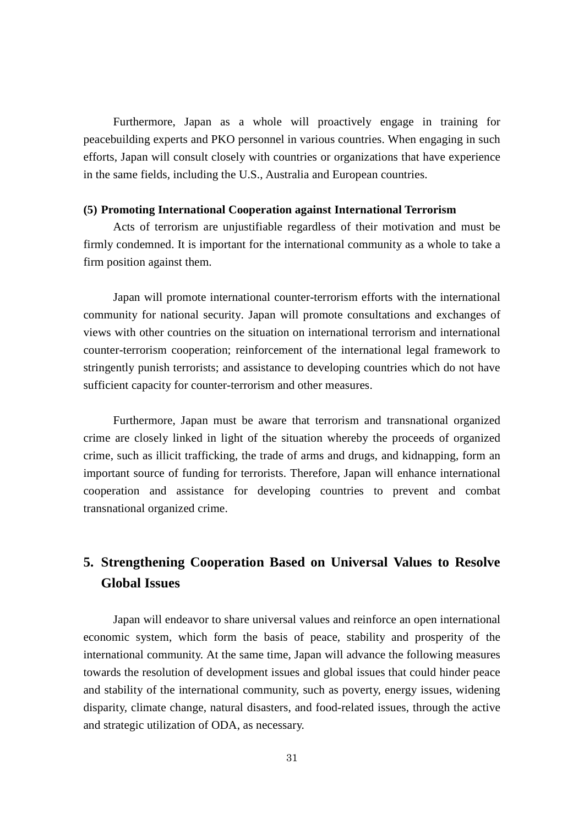Furthermore, Japan as a whole will proactively engage in training for peacebuilding experts and PKO personnel in various countries. When engaging in such efforts, Japan will consult closely with countries or organizations that have experience in the same fields, including the U.S., Australia and European countries.

### **(5) Promoting International Cooperation against International Terrorism**

Acts of terrorism are unjustifiable regardless of their motivation and must be firmly condemned. It is important for the international community as a whole to take a firm position against them.

Japan will promote international counter-terrorism efforts with the international community for national security. Japan will promote consultations and exchanges of views with other countries on the situation on international terrorism and international counter-terrorism cooperation; reinforcement of the international legal framework to stringently punish terrorists; and assistance to developing countries which do not have sufficient capacity for counter-terrorism and other measures.

Furthermore, Japan must be aware that terrorism and transnational organized crime are closely linked in light of the situation whereby the proceeds of organized crime, such as illicit trafficking, the trade of arms and drugs, and kidnapping, form an important source of funding for terrorists. Therefore, Japan will enhance international cooperation and assistance for developing countries to prevent and combat transnational organized crime.

# **5. Strengthening Cooperation Based on Universal Values to Resolve Global Issues**

Japan will endeavor to share universal values and reinforce an open international economic system, which form the basis of peace, stability and prosperity of the international community. At the same time, Japan will advance the following measures towards the resolution of development issues and global issues that could hinder peace and stability of the international community, such as poverty, energy issues, widening disparity, climate change, natural disasters, and food-related issues, through the active and strategic utilization of ODA, as necessary.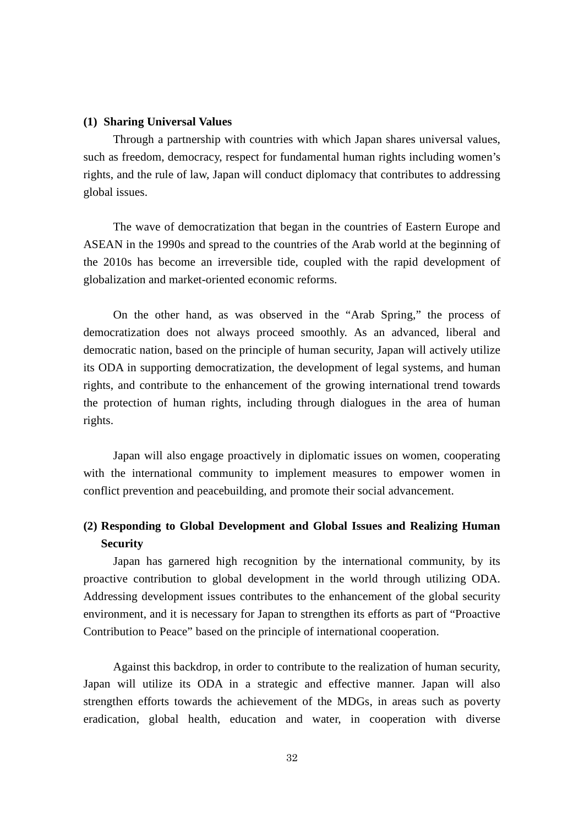#### **(1) Sharing Universal Values**

Through a partnership with countries with which Japan shares universal values, such as freedom, democracy, respect for fundamental human rights including women's rights, and the rule of law, Japan will conduct diplomacy that contributes to addressing global issues.

The wave of democratization that began in the countries of Eastern Europe and ASEAN in the 1990s and spread to the countries of the Arab world at the beginning of the 2010s has become an irreversible tide, coupled with the rapid development of globalization and market-oriented economic reforms.

On the other hand, as was observed in the "Arab Spring," the process of democratization does not always proceed smoothly. As an advanced, liberal and democratic nation, based on the principle of human security, Japan will actively utilize its ODA in supporting democratization, the development of legal systems, and human rights, and contribute to the enhancement of the growing international trend towards the protection of human rights, including through dialogues in the area of human rights.

Japan will also engage proactively in diplomatic issues on women, cooperating with the international community to implement measures to empower women in conflict prevention and peacebuilding, and promote their social advancement.

### **(2) Responding to Global Development and Global Issues and Realizing Human Security**

Japan has garnered high recognition by the international community, by its proactive contribution to global development in the world through utilizing ODA. Addressing development issues contributes to the enhancement of the global security environment, and it is necessary for Japan to strengthen its efforts as part of "Proactive Contribution to Peace" based on the principle of international cooperation.

Against this backdrop, in order to contribute to the realization of human security, Japan will utilize its ODA in a strategic and effective manner. Japan will also strengthen efforts towards the achievement of the MDGs, in areas such as poverty eradication, global health, education and water, in cooperation with diverse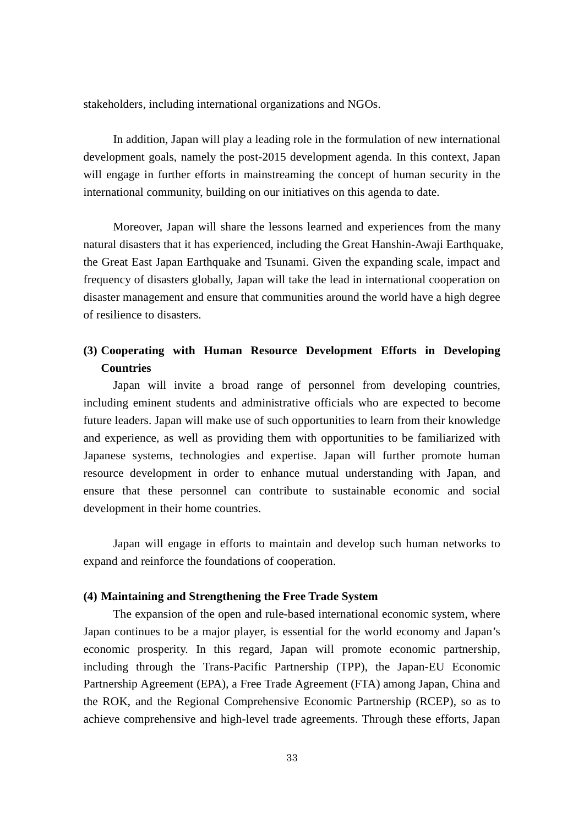stakeholders, including international organizations and NGOs.

In addition, Japan will play a leading role in the formulation of new international development goals, namely the post-2015 development agenda. In this context, Japan will engage in further efforts in mainstreaming the concept of human security in the international community, building on our initiatives on this agenda to date.

Moreover, Japan will share the lessons learned and experiences from the many natural disasters that it has experienced, including the Great Hanshin-Awaji Earthquake, the Great East Japan Earthquake and Tsunami. Given the expanding scale, impact and frequency of disasters globally, Japan will take the lead in international cooperation on disaster management and ensure that communities around the world have a high degree of resilience to disasters.

### **(3) Cooperating with Human Resource Development Efforts in Developing Countries**

Japan will invite a broad range of personnel from developing countries, including eminent students and administrative officials who are expected to become future leaders. Japan will make use of such opportunities to learn from their knowledge and experience, as well as providing them with opportunities to be familiarized with Japanese systems, technologies and expertise. Japan will further promote human resource development in order to enhance mutual understanding with Japan, and ensure that these personnel can contribute to sustainable economic and social development in their home countries.

Japan will engage in efforts to maintain and develop such human networks to expand and reinforce the foundations of cooperation.

### **(4) Maintaining and Strengthening the Free Trade System**

The expansion of the open and rule-based international economic system, where Japan continues to be a major player, is essential for the world economy and Japan's economic prosperity. In this regard, Japan will promote economic partnership, including through the Trans-Pacific Partnership (TPP), the Japan-EU Economic Partnership Agreement (EPA), a Free Trade Agreement (FTA) among Japan, China and the ROK, and the Regional Comprehensive Economic Partnership (RCEP), so as to achieve comprehensive and high-level trade agreements. Through these efforts, Japan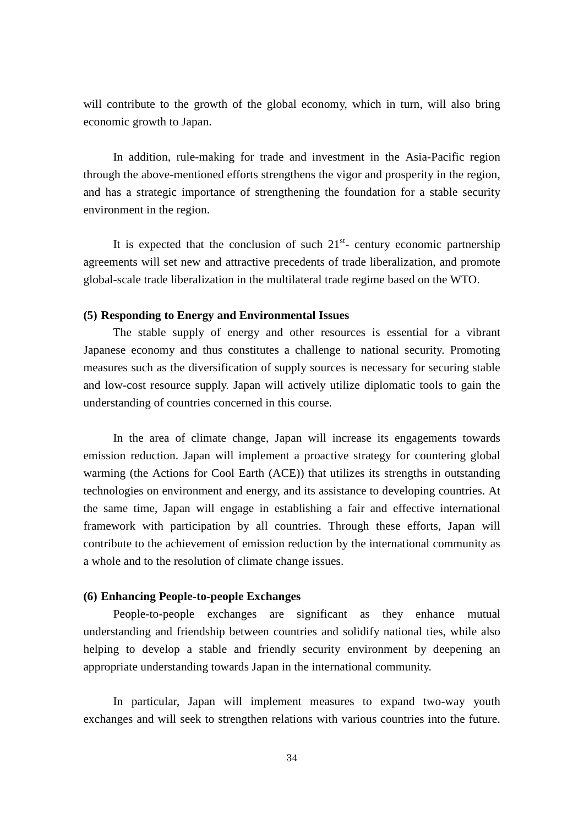will contribute to the growth of the global economy, which in turn, will also bring economic growth to Japan.

In addition, rule-making for trade and investment in the Asia-Pacific region through the above-mentioned efforts strengthens the vigor and prosperity in the region, and has a strategic importance of strengthening the foundation for a stable security environment in the region.

It is expected that the conclusion of such  $21<sup>st</sup>$ - century economic partnership agreements will set new and attractive precedents of trade liberalization, and promote global-scale trade liberalization in the multilateral trade regime based on the WTO.

### **(5) Responding to Energy and Environmental Issues**

The stable supply of energy and other resources is essential for a vibrant Japanese economy and thus constitutes a challenge to national security. Promoting measures such as the diversification of supply sources is necessary for securing stable and low-cost resource supply. Japan will actively utilize diplomatic tools to gain the understanding of countries concerned in this course.

In the area of climate change, Japan will increase its engagements towards emission reduction. Japan will implement a proactive strategy for countering global warming (the Actions for Cool Earth (ACE)) that utilizes its strengths in outstanding technologies on environment and energy, and its assistance to developing countries. At the same time, Japan will engage in establishing a fair and effective international framework with participation by all countries. Through these efforts, Japan will contribute to the achievement of emission reduction by the international community as a whole and to the resolution of climate change issues.

### **(6) Enhancing People-to-people Exchanges**

People-to-people exchanges are significant as they enhance mutual understanding and friendship between countries and solidify national ties, while also helping to develop a stable and friendly security environment by deepening an appropriate understanding towards Japan in the international community.

In particular, Japan will implement measures to expand two-way youth exchanges and will seek to strengthen relations with various countries into the future.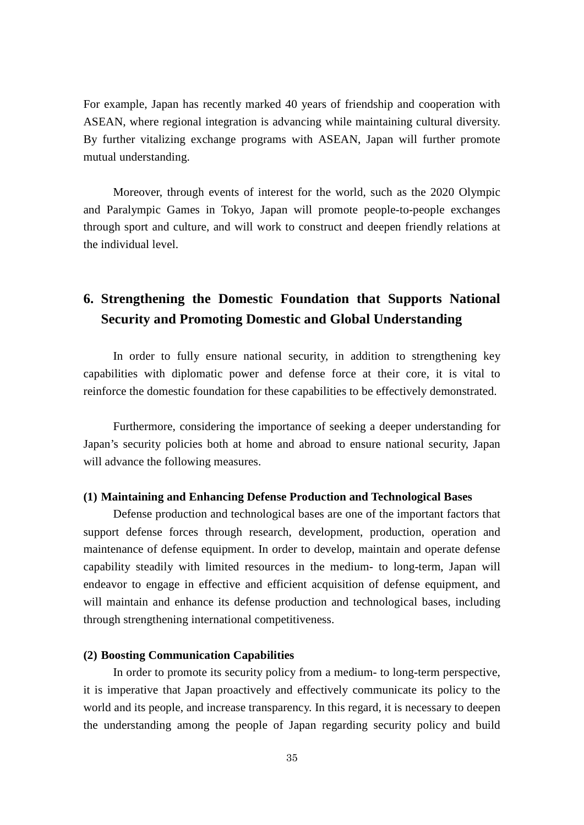For example, Japan has recently marked 40 years of friendship and cooperation with ASEAN, where regional integration is advancing while maintaining cultural diversity. By further vitalizing exchange programs with ASEAN, Japan will further promote mutual understanding.

Moreover, through events of interest for the world, such as the 2020 Olympic and Paralympic Games in Tokyo, Japan will promote people-to-people exchanges through sport and culture, and will work to construct and deepen friendly relations at the individual level.

# **6. Strengthening the Domestic Foundation that Supports National Security and Promoting Domestic and Global Understanding**

In order to fully ensure national security, in addition to strengthening key capabilities with diplomatic power and defense force at their core, it is vital to reinforce the domestic foundation for these capabilities to be effectively demonstrated.

Furthermore, considering the importance of seeking a deeper understanding for Japan's security policies both at home and abroad to ensure national security, Japan will advance the following measures.

### **(1) Maintaining and Enhancing Defense Production and Technological Bases**

Defense production and technological bases are one of the important factors that support defense forces through research, development, production, operation and maintenance of defense equipment. In order to develop, maintain and operate defense capability steadily with limited resources in the medium- to long-term, Japan will endeavor to engage in effective and efficient acquisition of defense equipment, and will maintain and enhance its defense production and technological bases, including through strengthening international competitiveness.

### **(2) Boosting Communication Capabilities**

In order to promote its security policy from a medium- to long-term perspective, it is imperative that Japan proactively and effectively communicate its policy to the world and its people, and increase transparency. In this regard, it is necessary to deepen the understanding among the people of Japan regarding security policy and build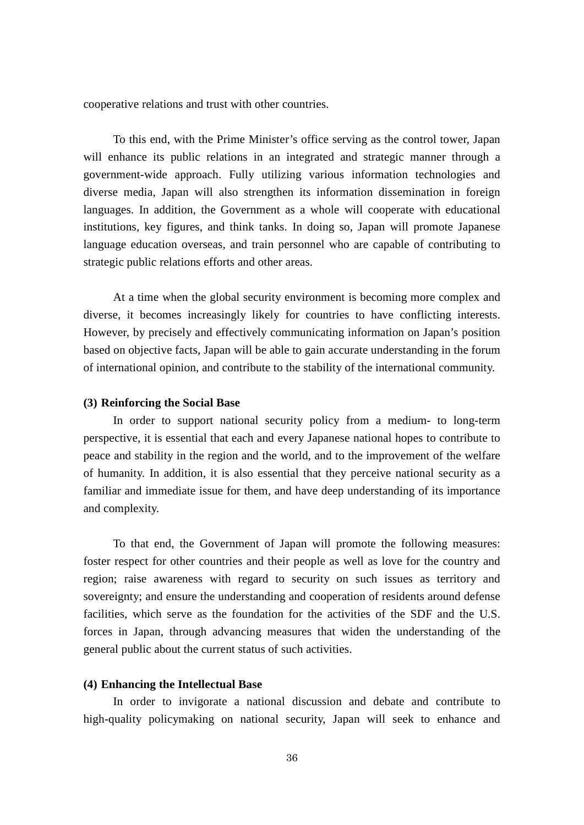cooperative relations and trust with other countries.

To this end, with the Prime Minister's office serving as the control tower, Japan will enhance its public relations in an integrated and strategic manner through a government-wide approach. Fully utilizing various information technologies and diverse media, Japan will also strengthen its information dissemination in foreign languages. In addition, the Government as a whole will cooperate with educational institutions, key figures, and think tanks. In doing so, Japan will promote Japanese language education overseas, and train personnel who are capable of contributing to strategic public relations efforts and other areas.

At a time when the global security environment is becoming more complex and diverse, it becomes increasingly likely for countries to have conflicting interests. However, by precisely and effectively communicating information on Japan's position based on objective facts, Japan will be able to gain accurate understanding in the forum of international opinion, and contribute to the stability of the international community.

### **(3) Reinforcing the Social Base**

In order to support national security policy from a medium- to long-term perspective, it is essential that each and every Japanese national hopes to contribute to peace and stability in the region and the world, and to the improvement of the welfare of humanity. In addition, it is also essential that they perceive national security as a familiar and immediate issue for them, and have deep understanding of its importance and complexity.

To that end, the Government of Japan will promote the following measures: foster respect for other countries and their people as well as love for the country and region; raise awareness with regard to security on such issues as territory and sovereignty; and ensure the understanding and cooperation of residents around defense facilities, which serve as the foundation for the activities of the SDF and the U.S. forces in Japan, through advancing measures that widen the understanding of the general public about the current status of such activities.

#### **(4) Enhancing the Intellectual Base**

In order to invigorate a national discussion and debate and contribute to high-quality policymaking on national security, Japan will seek to enhance and